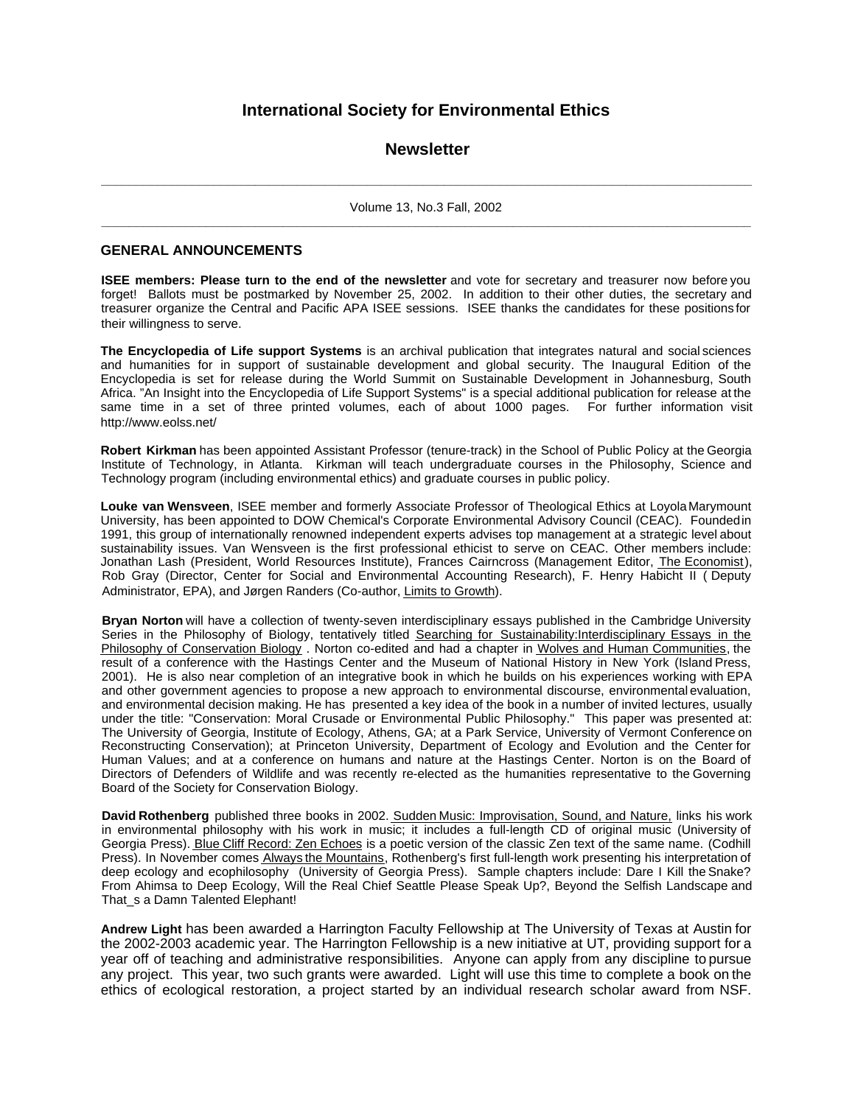## **International Society for Environmental Ethics**

## **Newsletter**

**\_ \_ \_ \_ \_ \_ \_ \_ \_ \_ \_ \_ \_ \_ \_ \_ \_ \_ \_ \_ \_ \_ \_ \_ \_ \_ \_ \_ \_ \_ \_ \_ \_ \_ \_ \_ \_ \_ \_ \_ \_ \_ \_ \_ \_ \_ \_ \_ \_ \_ \_ \_ \_ \_ \_ \_ \_ \_ \_ \_ \_ \_ \_ \_ \_ \_ \_ \_ \_ \_ \_ \_ \_ \_ \_ \_ \_ \_ \_ \_ \_ \_ \_ \_ \_ \_ \_ \_ \_ \_ \_ \_ \_** Volume 13, No.3 Fall, 2002 **\_\_\_\_\_\_\_\_\_\_\_\_\_\_\_\_\_\_\_\_\_\_\_\_\_\_\_\_\_\_\_\_\_\_\_\_\_\_\_\_\_\_\_\_\_\_\_\_\_\_\_\_\_\_\_\_\_\_\_\_\_\_\_\_\_\_\_\_\_\_\_\_\_\_\_\_\_\_\_\_\_\_\_\_\_\_\_\_\_\_\_\_\_**

#### **GENERAL ANNOUNCEMENTS**

**ISEE members: Please turn to the end of the newsletter** and vote for secretary and treasurer now before you forget! Ballots must be postmarked by November 25, 2002. In addition to their other duties, the secretary and treasurer organize the Central and Pacific APA ISEE sessions. ISEE thanks the candidates for these positions for their willingness to serve.

**The Encyclopedia of Life support Systems** is an archival publication that integrates natural and social sciences and humanities for in support of sustainable development and global security. The Inaugural Edition of the Encyclopedia is set for release during the World Summit on Sustainable Development in Johannesburg, South Africa. "An Insight into the Encyclopedia of Life Support Systems" is a special additional publication for release at the same time in a set of three printed volumes, each of about 1000 pages. For further information visit http://www.eolss.net/

**Robert Kirkman** has been appointed Assistant Professor (tenure-track) in the School of Public Policy at the Georgia Institute of Technology, in Atlanta. Kirkman will teach undergraduate courses in the Philosophy, Science and Technology program (including environmental ethics) and graduate courses in public policy.

**Louke van Wensveen**, ISEE member and formerly Associate Professor of Theological Ethics at Loyola Marymount University, has been appointed to DOW Chemical's Corporate Environmental Advisory Council (CEAC). Founded in 1991, this group of internationally renowned independent experts advises top management at a strategic level about sustainability issues. Van Wensveen is the first professional ethicist to serve on CEAC. Other members include: Jonathan Lash (President, World Resources Institute), Frances Cairncross (Management Editor, The Economist), Rob Gray (Director, Center for Social and Environmental Accounting Research), F. Henry Habicht II ( Deputy Administrator, EPA), and Jørgen Randers (Co-author, Limits to Growth).

**Bryan Norton** will have a collection of twenty-seven interdisciplinary essays published in the Cambridge University Series in the Philosophy of Biology, tentatively titled Searching for Sustainability:Interdisciplinary Essays in the Philosophy of Conservation Biology . Norton co-edited and had a chapter in Wolves and Human Communities, the result of a conference with the Hastings Center and the Museum of National History in New York (Island Press, 2001). He is also near completion of an integrative book in which he builds on his experiences working with EPA and other government agencies to propose a new approach to environmental discourse, environmental evaluation, and environmental decision making. He has presented a key idea of the book in a number of invited lectures, usually under the title: "Conservation: Moral Crusade or Environmental Public Philosophy." This paper was presented at: The University of Georgia, Institute of Ecology, Athens, GA; at a Park Service, University of Vermont Conference on Reconstructing Conservation); at Princeton University, Department of Ecology and Evolution and the Center for Human Values; and at a conference on humans and nature at the Hastings Center. Norton is on the Board of Directors of Defenders of Wildlife and was recently re-elected as the humanities representative to the Governing Board of the Society for Conservation Biology.

**David Rothenberg** published three books in 2002. Sudden Music: Improvisation, Sound, and Nature, links his work in environmental philosophy with his work in music; it includes a full-length CD of original music (University of Georgia Press). Blue Cliff Record: Zen Echoes is a poetic version of the classic Zen text of the same name. (Codhill Press). In November comes Always the Mountains, Rothenberg's first full-length work presenting his interpretation of deep ecology and ecophilosophy (University of Georgia Press). Sample chapters include: Dare I Kill the Snake? From Ahimsa to Deep Ecology, Will the Real Chief Seattle Please Speak Up?, Beyond the Selfish Landscape and That\_s a Damn Talented Elephant!

**Andrew Light** has been awarded a Harrington Faculty Fellowship at The University of Texas at Austin for the 2002-2003 academic year. The Harrington Fellowship is a new initiative at UT, providing support for a year off of teaching and administrative responsibilities. Anyone can apply from any discipline to pursue any project. This year, two such grants were awarded. Light will use this time to complete a book on the ethics of ecological restoration, a project started by an individual research scholar award from NSF.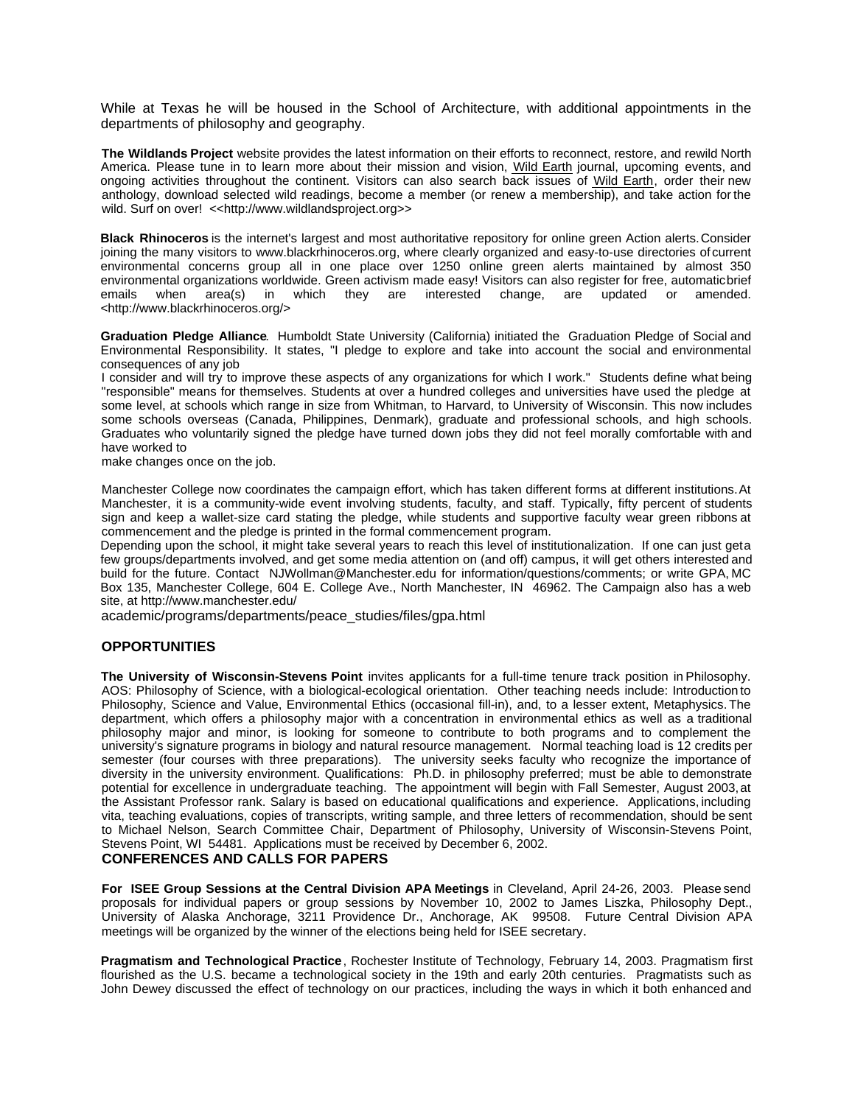While at Texas he will be housed in the School of Architecture, with additional appointments in the departments of philosophy and geography.

**The Wildlands Project** website provides the latest information on their efforts to reconnect, restore, and rewild North America. Please tune in to learn more about their mission and vision, Wild Earth journal, upcoming events, and ongoing activities throughout the continent. Visitors can also search back issues of Wild Earth, order their new anthology, download selected wild readings, become a member (or renew a membership), and take action for the wild. Surf on over! << http://www.wildlandsproject.org>>

**Black Rhinoceros** is the internet's largest and most authoritative repository for online green Action alerts. Consider joining the many visitors to www.blackrhinoceros.org, where clearly organized and easy-to-use directories of current environmental concerns group all in one place over 1250 online green alerts maintained by almost 350 environmental organizations worldwide. Green activism made easy! Visitors can also register for free, automatic brief emails when area(s) in which they are interested change, are updated or amended. <http://www.blackrhinoceros.org/>

**Graduation Pledge Alliance**. Humboldt State University (California) initiated the Graduation Pledge of Social and Environmental Responsibility. It states, "I pledge to explore and take into account the social and environmental consequences of any job

I consider and will try to improve these aspects of any organizations for which I work." Students define what being "responsible" means for themselves. Students at over a hundred colleges and universities have used the pledge at some level, at schools which range in size from Whitman, to Harvard, to University of Wisconsin. This now includes some schools overseas (Canada, Philippines, Denmark), graduate and professional schools, and high schools. Graduates who voluntarily signed the pledge have turned down jobs they did not feel morally comfortable with and have worked to

make changes once on the job.

Manchester College now coordinates the campaign effort, which has taken different forms at different institutions. At Manchester, it is a community-wide event involving students, faculty, and staff. Typically, fifty percent of students sign and keep a wallet-size card stating the pledge, while students and supportive faculty wear green ribbons at commencement and the pledge is printed in the formal commencement program.

Depending upon the school, it might take several years to reach this level of institutionalization. If one can just geta few groups/departments involved, and get some media attention on (and off) campus, it will get others interested and build for the future. Contact NJWollman@Manchester.edu for information/questions/comments; or write GPA, MC Box 135, Manchester College, 604 E. College Ave., North Manchester, IN 46962. The Campaign also has a web site, at http://www.manchester.edu/

academic/programs/departments/peace\_studies/files/gpa.html

### **OPPORTUNITIES**

**The University of Wisconsin-Stevens Point** invites applicants for a full-time tenure track position in Philosophy. AOS: Philosophy of Science, with a biological-ecological orientation. Other teaching needs include: Introduction to Philosophy, Science and Value, Environmental Ethics (occasional fill-in), and, to a lesser extent, Metaphysics. The department, which offers a philosophy major with a concentration in environmental ethics as well as a traditional philosophy major and minor, is looking for someone to contribute to both programs and to complement the university's signature programs in biology and natural resource management. Normal teaching load is 12 credits per semester (four courses with three preparations). The university seeks faculty who recognize the importance of diversity in the university environment. Qualifications: Ph.D. in philosophy preferred; must be able to demonstrate potential for excellence in undergraduate teaching. The appointment will begin with Fall Semester, August 2003, at the Assistant Professor rank. Salary is based on educational qualifications and experience. Applications, including vita, teaching evaluations, copies of transcripts, writing sample, and three letters of recommendation, should be sent to Michael Nelson, Search Committee Chair, Department of Philosophy, University of Wisconsin-Stevens Point, Stevens Point, WI 54481. Applications must be received by December 6, 2002. **CONFERENCES AND CALLS FOR PAPERS**

**For ISEE Group Sessions at the Central Division APA Meetings** in Cleveland, April 24-26, 2003. Please send proposals for individual papers or group sessions by November 10, 2002 to James Liszka, Philosophy Dept., University of Alaska Anchorage, 3211 Providence Dr., Anchorage, AK 99508. Future Central Division APA meetings will be organized by the winner of the elections being held for ISEE secretary.

**Pragmatism and Technological Practice**, Rochester Institute of Technology, February 14, 2003. Pragmatism first flourished as the U.S. became a technological society in the 19th and early 20th centuries. Pragmatists such as John Dewey discussed the effect of technology on our practices, including the ways in which it both enhanced and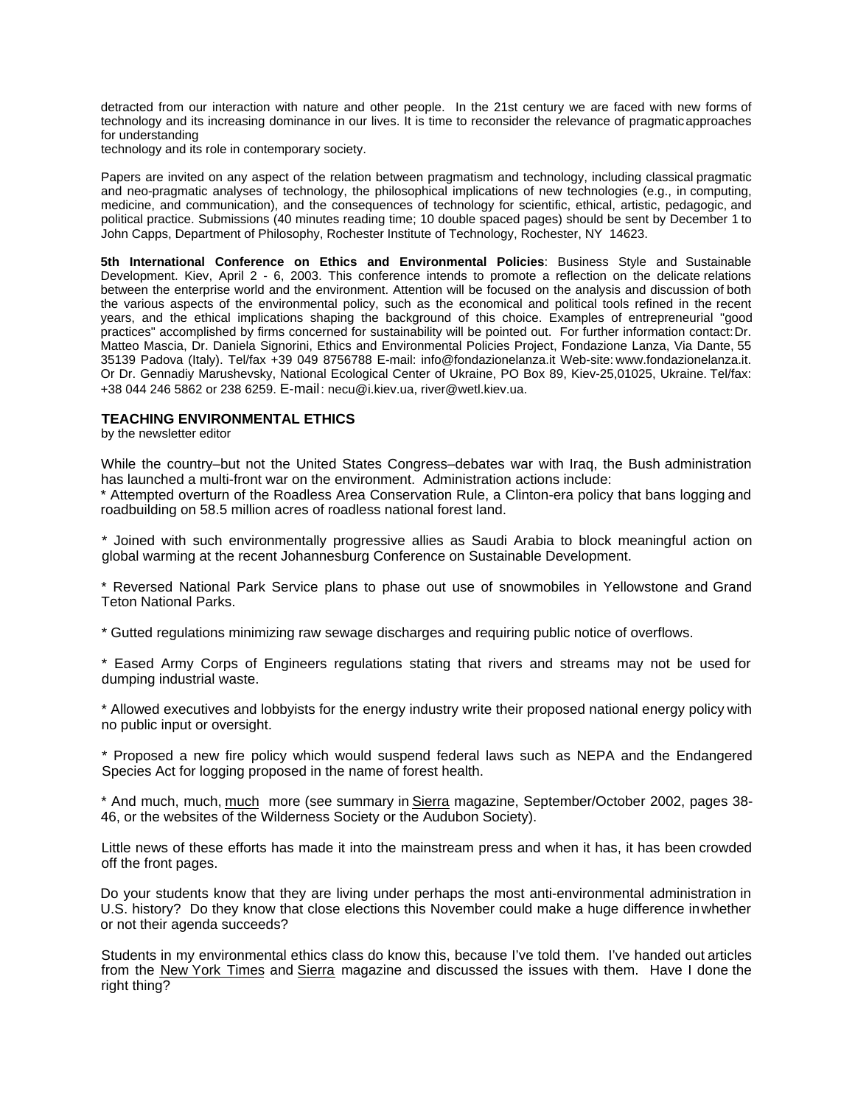detracted from our interaction with nature and other people. In the 21st century we are faced with new forms of technology and its increasing dominance in our lives. It is time to reconsider the relevance of pragmatic approaches for understanding

technology and its role in contemporary society.

Papers are invited on any aspect of the relation between pragmatism and technology, including classical pragmatic and neo-pragmatic analyses of technology, the philosophical implications of new technologies (e.g., in computing, medicine, and communication), and the consequences of technology for scientific, ethical, artistic, pedagogic, and political practice. Submissions (40 minutes reading time; 10 double spaced pages) should be sent by December 1 to John Capps, Department of Philosophy, Rochester Institute of Technology, Rochester, NY 14623.

**5th International Conference on Ethics and Environmental Policies**: Business Style and Sustainable Development. Kiev, April 2 - 6, 2003. This conference intends to promote a reflection on the delicate relations between the enterprise world and the environment. Attention will be focused on the analysis and discussion of both the various aspects of the environmental policy, such as the economical and political tools refined in the recent years, and the ethical implications shaping the background of this choice. Examples of entrepreneurial "good practices" accomplished by firms concerned for sustainability will be pointed out. For further information contact: Dr. Matteo Mascia, Dr. Daniela Signorini, Ethics and Environmental Policies Project, Fondazione Lanza, Via Dante, 55 35139 Padova (Italy). Tel/fax +39 049 8756788 E-mail: info@fondazionelanza.it Web-site: www.fondazionelanza.it. Or Dr. Gennadiy Marushevsky, National Ecological Center of Ukraine, PO Box 89, Kiev-25,01025, Ukraine. Tel/fax: +38 044 246 5862 or 238 6259. E-mail: necu@i.kiev.ua, river@wetl.kiev.ua.

### **TEACHING ENVIRONMENTAL ETHICS**

by the newsletter editor

While the country–but not the United States Congress–debates war with Iraq, the Bush administration has launched a multi-front war on the environment. Administration actions include:

\* Attempted overturn of the Roadless Area Conservation Rule, a Clinton-era policy that bans logging and roadbuilding on 58.5 million acres of roadless national forest land.

\* Joined with such environmentally progressive allies as Saudi Arabia to block meaningful action on global warming at the recent Johannesburg Conference on Sustainable Development.

\* Reversed National Park Service plans to phase out use of snowmobiles in Yellowstone and Grand Teton National Parks.

\* Gutted regulations minimizing raw sewage discharges and requiring public notice of overflows.

\* Eased Army Corps of Engineers regulations stating that rivers and streams may not be used for dumping industrial waste.

\* Allowed executives and lobbyists for the energy industry write their proposed national energy policy with no public input or oversight.

\* Proposed a new fire policy which would suspend federal laws such as NEPA and the Endangered Species Act for logging proposed in the name of forest health.

\* And much, much, much more (see summary in Sierra magazine, September/October 2002, pages 38- 46, or the websites of the Wilderness Society or the Audubon Society).

Little news of these efforts has made it into the mainstream press and when it has, it has been crowded off the front pages.

Do your students know that they are living under perhaps the most anti-environmental administration in U.S. history? Do they know that close elections this November could make a huge difference in whether or not their agenda succeeds?

Students in my environmental ethics class do know this, because I've told them. I've handed out articles from the New York Times and Sierra magazine and discussed the issues with them. Have I done the right thing?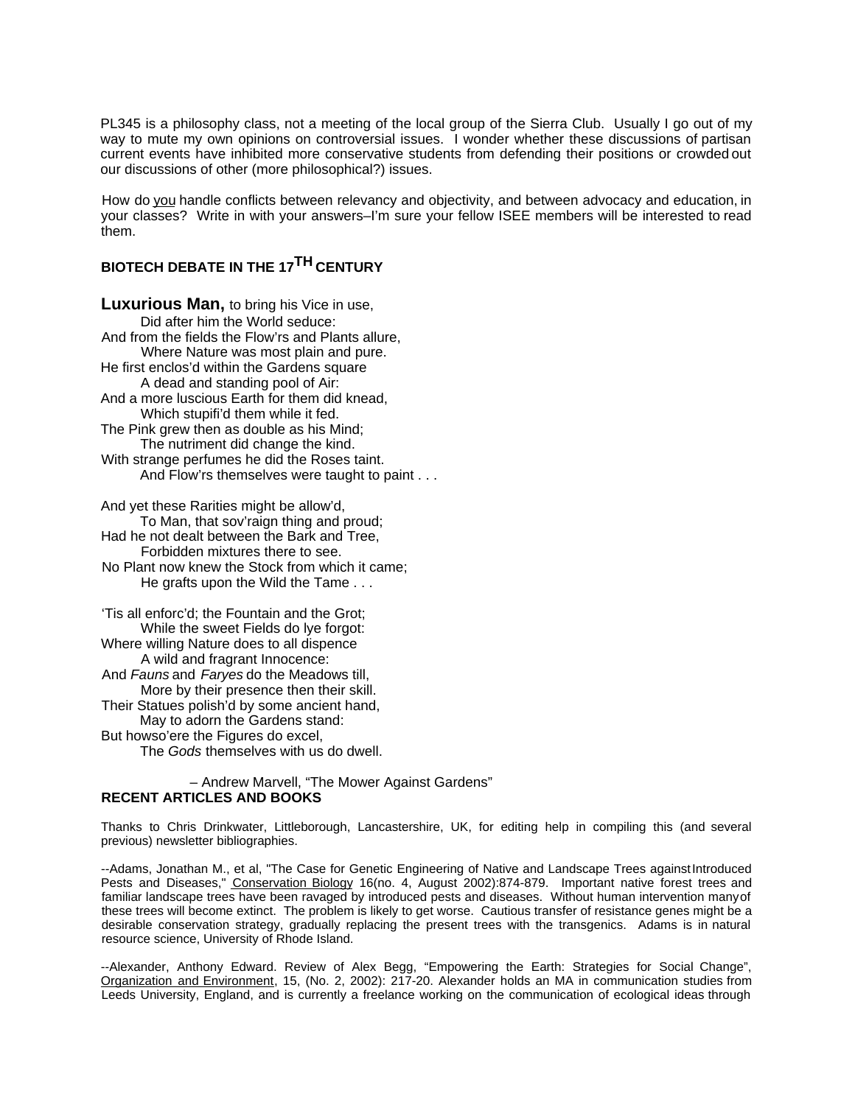PL345 is a philosophy class, not a meeting of the local group of the Sierra Club. Usually I go out of my way to mute my own opinions on controversial issues. I wonder whether these discussions of partisan current events have inhibited more conservative students from defending their positions or crowded out our discussions of other (more philosophical?) issues.

How do you handle conflicts between relevancy and objectivity, and between advocacy and education, in your classes? Write in with your answers–I'm sure your fellow ISEE members will be interested to read them.

# **BIOTECH DEBATE IN THE 17TH CENTURY**

**Luxurious Man,** to bring his Vice in use, Did after him the World seduce: And from the fields the Flow'rs and Plants allure, Where Nature was most plain and pure. He first enclos'd within the Gardens square A dead and standing pool of Air: And a more luscious Earth for them did knead, Which stupifi'd them while it fed. The Pink grew then as double as his Mind; The nutriment did change the kind. With strange perfumes he did the Roses taint. And Flow'rs themselves were taught to paint . . .

And yet these Rarities might be allow'd, To Man, that sov'raign thing and proud; Had he not dealt between the Bark and Tree, Forbidden mixtures there to see. No Plant now knew the Stock from which it came; He grafts upon the Wild the Tame . . .

'Tis all enforc'd; the Fountain and the Grot; While the sweet Fields do lye forgot: Where willing Nature does to all dispence A wild and fragrant Innocence: And *Fauns*and *Faryes*do the Meadows till, More by their presence then their skill. Their Statues polish'd by some ancient hand, May to adorn the Gardens stand: But howso'ere the Figures do excel, The *Gods* themselves with us do dwell.

## – Andrew Marvell, "The Mower Against Gardens" **RECENT ARTICLES AND BOOKS**

Thanks to Chris Drinkwater, Littleborough, Lancastershire, UK, for editing help in compiling this (and several previous) newsletter bibliographies.

--Adams, Jonathan M., et al, "The Case for Genetic Engineering of Native and Landscape Trees against Introduced Pests and Diseases," Conservation Biology 16(no. 4, August 2002):874-879. Important native forest trees and familiar landscape trees have been ravaged by introduced pests and diseases. Without human intervention many of these trees will become extinct. The problem is likely to get worse. Cautious transfer of resistance genes might be a desirable conservation strategy, gradually replacing the present trees with the transgenics. Adams is in natural resource science, University of Rhode Island.

--Alexander, Anthony Edward. Review of Alex Begg, "Empowering the Earth: Strategies for Social Change", Organization and Environment, 15, (No. 2, 2002): 217-20. Alexander holds an MA in communication studies from Leeds University, England, and is currently a freelance working on the communication of ecological ideas through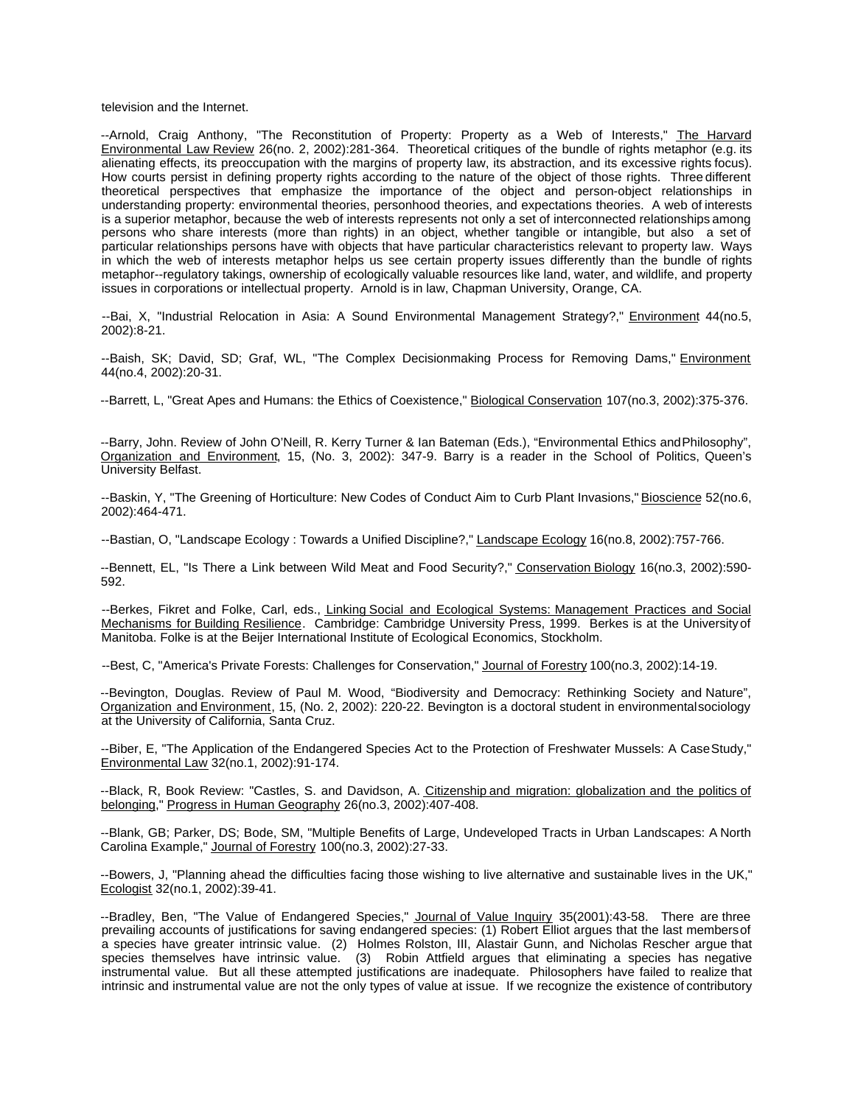television and the Internet.

--Arnold, Craig Anthony, "The Reconstitution of Property: Property as a Web of Interests," The Harvard Environmental Law Review 26(no. 2, 2002):281-364. Theoretical critiques of the bundle of rights metaphor (e.g. its alienating effects, its preoccupation with the margins of property law, its abstraction, and its excessive rights focus). How courts persist in defining property rights according to the nature of the object of those rights. Three different theoretical perspectives that emphasize the importance of the object and person-object relationships in understanding property: environmental theories, personhood theories, and expectations theories. A web of interests is a superior metaphor, because the web of interests represents not only a set of interconnected relationships among persons who share interests (more than rights) in an object, whether tangible or intangible, but also a set of particular relationships persons have with objects that have particular characteristics relevant to property law. Ways in which the web of interests metaphor helps us see certain property issues differently than the bundle of rights metaphor--regulatory takings, ownership of ecologically valuable resources like land, water, and wildlife, and property issues in corporations or intellectual property. Arnold is in law, Chapman University, Orange, CA.

--Bai, X, "Industrial Relocation in Asia: A Sound Environmental Management Strategy?," Environment 44(no.5, 2002):8-21.

--Baish, SK; David, SD; Graf, WL, "The Complex Decisionmaking Process for Removing Dams," Environment 44(no.4, 2002):20-31.

--Barrett, L, "Great Apes and Humans: the Ethics of Coexistence," Biological Conservation 107(no.3, 2002):375-376.

--Barry, John. Review of John O'Neill, R. Kerry Turner & Ian Bateman (Eds.), "Environmental Ethics and Philosophy", Organization and Environment, 15, (No. 3, 2002): 347-9. Barry is a reader in the School of Politics, Queen's University Belfast.

--Baskin, Y, "The Greening of Horticulture: New Codes of Conduct Aim to Curb Plant Invasions," Bioscience 52(no.6, 2002):464-471.

--Bastian, O, "Landscape Ecology : Towards a Unified Discipline?," Landscape Ecology 16(no.8, 2002):757-766.

--Bennett, EL, "Is There a Link between Wild Meat and Food Security?," Conservation Biology 16(no.3, 2002):590-592.

--Berkes, Fikret and Folke, Carl, eds., Linking Social and Ecological Systems: Management Practices and Social Mechanisms for Building Resilience. Cambridge: Cambridge University Press, 1999. Berkes is at the University of Manitoba. Folke is at the Beijer International Institute of Ecological Economics, Stockholm.

--Best, C, "America's Private Forests: Challenges for Conservation," Journal of Forestry 100(no.3, 2002):14-19.

--Bevington, Douglas. Review of Paul M. Wood, "Biodiversity and Democracy: Rethinking Society and Nature", Organization and Environment, 15, (No. 2, 2002): 220-22. Bevington is a doctoral student in environmental sociology at the University of California, Santa Cruz.

--Biber, E, "The Application of the Endangered Species Act to the Protection of Freshwater Mussels: A Case Study," Environmental Law 32(no.1, 2002):91-174.

--Black, R, Book Review: "Castles, S. and Davidson, A. Citizenship and migration: globalization and the politics of belonging," Progress in Human Geography 26(no.3, 2002):407-408.

--Blank, GB; Parker, DS; Bode, SM, "Multiple Benefits of Large, Undeveloped Tracts in Urban Landscapes: A North Carolina Example," Journal of Forestry 100(no.3, 2002):27-33.

--Bowers, J, "Planning ahead the difficulties facing those wishing to live alternative and sustainable lives in the UK," Ecologist 32(no.1, 2002):39-41.

--Bradley, Ben, "The Value of Endangered Species," Journal of Value Inquiry 35(2001):43-58. There are three prevailing accounts of justifications for saving endangered species: (1) Robert Elliot argues that the last members of a species have greater intrinsic value. (2) Holmes Rolston, III, Alastair Gunn, and Nicholas Rescher argue that species themselves have intrinsic value. (3) Robin Attfield argues that eliminating a species has negative instrumental value. But all these attempted justifications are inadequate. Philosophers have failed to realize that intrinsic and instrumental value are not the only types of value at issue. If we recognize the existence of contributory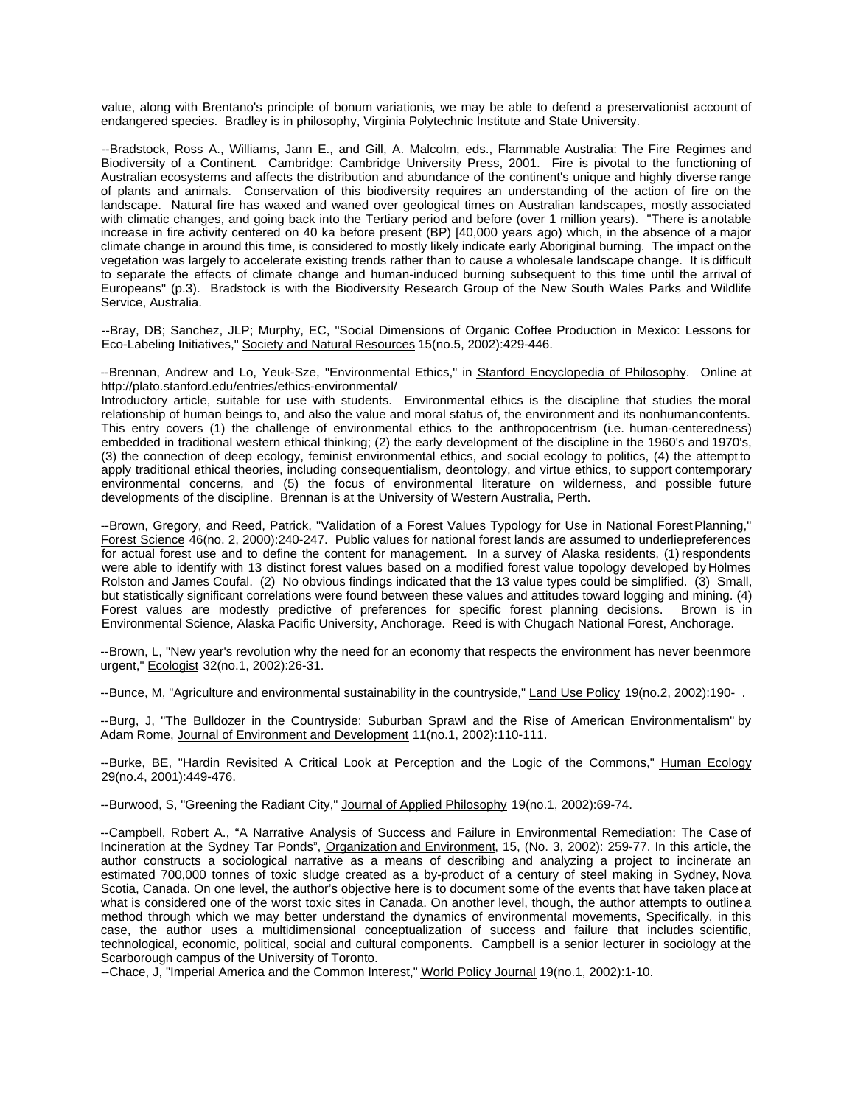value, along with Brentano's principle of bonum variationis, we may be able to defend a preservationist account of endangered species. Bradley is in philosophy, Virginia Polytechnic Institute and State University.

--Bradstock, Ross A., Williams, Jann E., and Gill, A. Malcolm, eds., *Flammable Australia: The Fire Regimes and* Biodiversity of a Continent. Cambridge: Cambridge University Press, 2001. Fire is pivotal to the functioning of Australian ecosystems and affects the distribution and abundance of the continent's unique and highly diverse range of plants and animals. Conservation of this biodiversity requires an understanding of the action of fire on the landscape. Natural fire has waxed and waned over geological times on Australian landscapes, mostly associated with climatic changes, and going back into the Tertiary period and before (over 1 million years). "There is anotable increase in fire activity centered on 40 ka before present (BP) [40,000 years ago) which, in the absence of a major climate change in around this time, is considered to mostly likely indicate early Aboriginal burning. The impact on the vegetation was largely to accelerate existing trends rather than to cause a wholesale landscape change. It is difficult to separate the effects of climate change and human-induced burning subsequent to this time until the arrival of Europeans" (p.3). Bradstock is with the Biodiversity Research Group of the New South Wales Parks and Wildlife Service, Australia.

--Bray, DB; Sanchez, JLP; Murphy, EC, "Social Dimensions of Organic Coffee Production in Mexico: Lessons for Eco-Labeling Initiatives," Society and Natural Resources 15(no.5, 2002):429-446.

--Brennan, Andrew and Lo, Yeuk-Sze, "Environmental Ethics," in Stanford Encyclopedia of Philosophy. Online at http://plato.stanford.edu/entries/ethics-environmental/

Introductory article, suitable for use with students. Environmental ethics is the discipline that studies the moral relationship of human beings to, and also the value and moral status of, the environment and its nonhuman contents. This entry covers (1) the challenge of environmental ethics to the anthropocentrism (i.e. human-centeredness) embedded in traditional western ethical thinking; (2) the early development of the discipline in the 1960's and 1970's, (3) the connection of deep ecology, feminist environmental ethics, and social ecology to politics, (4) the attempt to apply traditional ethical theories, including consequentialism, deontology, and virtue ethics, to support contemporary environmental concerns, and (5) the focus of environmental literature on wilderness, and possible future developments of the discipline. Brennan is at the University of Western Australia, Perth.

--Brown, Gregory, and Reed, Patrick, "Validation of a Forest Values Typology for Use in National Forest Planning," Forest Science 46(no. 2, 2000):240-247. Public values for national forest lands are assumed to underlie preferences for actual forest use and to define the content for management. In a survey of Alaska residents, (1) respondents were able to identify with 13 distinct forest values based on a modified forest value topology developed by Holmes Rolston and James Coufal. (2) No obvious findings indicated that the 13 value types could be simplified. (3) Small, but statistically significant correlations were found between these values and attitudes toward logging and mining. (4) Forest values are modestly predictive of preferences for specific forest planning decisions. Brown is in Environmental Science, Alaska Pacific University, Anchorage. Reed is with Chugach National Forest, Anchorage.

--Brown, L, "New year's revolution why the need for an economy that respects the environment has never been more urgent," Ecologist 32(no.1, 2002):26-31.

--Bunce, M, "Agriculture and environmental sustainability in the countryside," Land Use Policy 19(no.2, 2002):190- .

--Burg, J, "The Bulldozer in the Countryside: Suburban Sprawl and the Rise of American Environmentalism" by Adam Rome, Journal of Environment and Development 11(no.1, 2002):110-111.

--Burke, BE, "Hardin Revisited A Critical Look at Perception and the Logic of the Commons," Human Ecology 29(no.4, 2001):449-476.

--Burwood, S, "Greening the Radiant City," Journal of Applied Philosophy 19(no.1, 2002):69-74.

--Campbell, Robert A., "A Narrative Analysis of Success and Failure in Environmental Remediation: The Case of Incineration at the Sydney Tar Ponds", Organization and Environment, 15, (No. 3, 2002): 259-77. In this article, the author constructs a sociological narrative as a means of describing and analyzing a project to incinerate an estimated 700,000 tonnes of toxic sludge created as a by-product of a century of steel making in Sydney, Nova Scotia, Canada. On one level, the author's objective here is to document some of the events that have taken place at what is considered one of the worst toxic sites in Canada. On another level, though, the author attempts to outline a method through which we may better understand the dynamics of environmental movements, Specifically, in this case, the author uses a multidimensional conceptualization of success and failure that includes scientific, technological, economic, political, social and cultural components. Campbell is a senior lecturer in sociology at the Scarborough campus of the University of Toronto.

--Chace, J, "Imperial America and the Common Interest," World Policy Journal 19(no.1, 2002):1-10.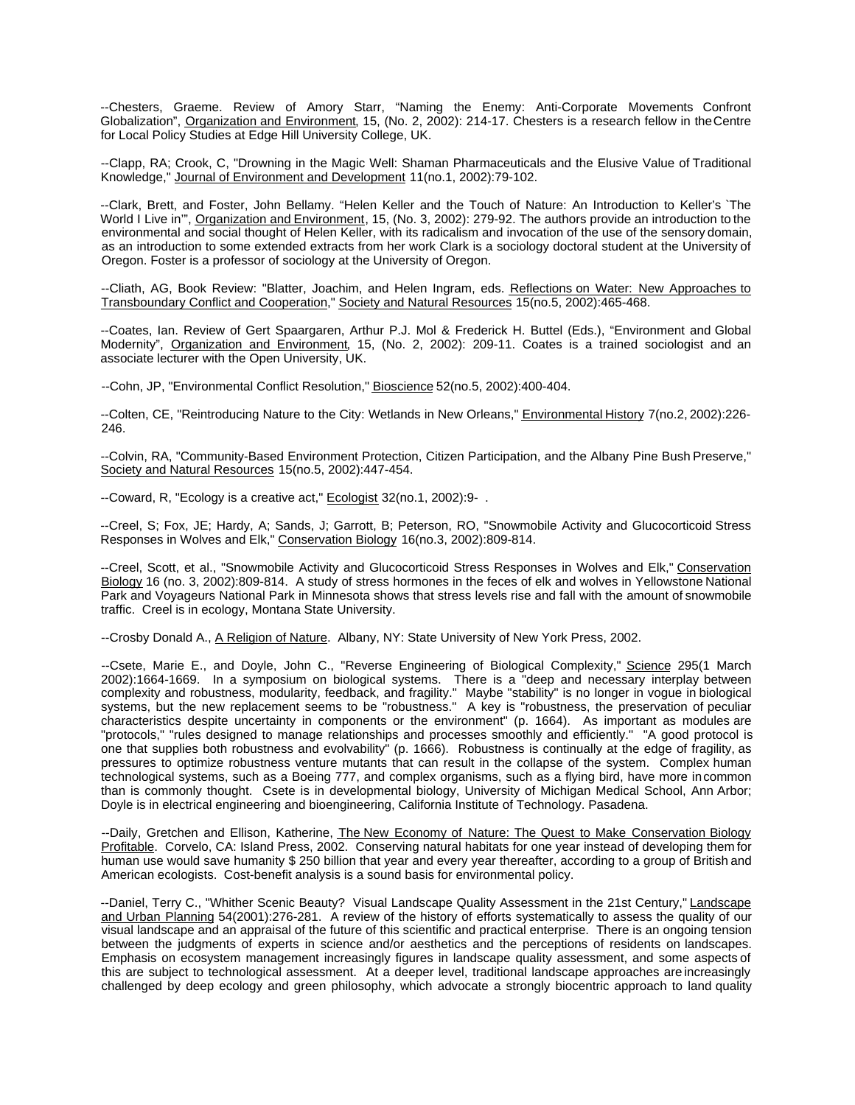--Chesters, Graeme. Review of Amory Starr, "Naming the Enemy: Anti-Corporate Movements Confront Globalization", Organization and Environment, 15, (No. 2, 2002): 214-17. Chesters is a research fellow in the Centre for Local Policy Studies at Edge Hill University College, UK.

--Clapp, RA; Crook, C, "Drowning in the Magic Well: Shaman Pharmaceuticals and the Elusive Value of Traditional Knowledge," Journal of Environment and Development 11(no.1, 2002):79-102.

--Clark, Brett, and Foster, John Bellamy. "Helen Keller and the Touch of Nature: An Introduction to Keller's `The World I Live in'", Organization and Environment, 15, (No. 3, 2002): 279-92. The authors provide an introduction to the environmental and social thought of Helen Keller, with its radicalism and invocation of the use of the sensory domain, as an introduction to some extended extracts from her work Clark is a sociology doctoral student at the University of Oregon. Foster is a professor of sociology at the University of Oregon.

--Cliath, AG, Book Review: "Blatter, Joachim, and Helen Ingram, eds. Reflections on Water: New Approaches to Transboundary Conflict and Cooperation," Society and Natural Resources 15(no.5, 2002):465-468.

--Coates, Ian. Review of Gert Spaargaren, Arthur P.J. Mol & Frederick H. Buttel (Eds.), "Environment and Global Modernity", Organization and Environment, 15, (No. 2, 2002): 209-11. Coates is a trained sociologist and an associate lecturer with the Open University, UK.

--Cohn, JP, "Environmental Conflict Resolution," Bioscience 52(no.5, 2002):400-404.

--Colten, CE, "Reintroducing Nature to the City: Wetlands in New Orleans," Environmental History 7(no.2, 2002):226-246.

--Colvin, RA, "Community-Based Environment Protection, Citizen Participation, and the Albany Pine Bush Preserve," Society and Natural Resources 15(no.5, 2002):447-454.

--Coward, R, "Ecology is a creative act," Ecologist 32(no.1, 2002):9- .

--Creel, S; Fox, JE; Hardy, A; Sands, J; Garrott, B; Peterson, RO, "Snowmobile Activity and Glucocorticoid Stress Responses in Wolves and Elk," Conservation Biology 16(no.3, 2002):809-814.

--Creel, Scott, et al., "Snowmobile Activity and Glucocorticoid Stress Responses in Wolves and Elk," Conservation Biology 16 (no. 3, 2002):809-814. A study of stress hormones in the feces of elk and wolves in Yellowstone National Park and Voyageurs National Park in Minnesota shows that stress levels rise and fall with the amount of snowmobile traffic. Creel is in ecology, Montana State University.

--Crosby Donald A., A Religion of Nature. Albany, NY: State University of New York Press, 2002.

--Csete, Marie E., and Doyle, John C., "Reverse Engineering of Biological Complexity," Science 295(1 March 2002):1664-1669. In a symposium on biological systems. There is a "deep and necessary interplay between complexity and robustness, modularity, feedback, and fragility." Maybe "stability" is no longer in vogue in biological systems, but the new replacement seems to be "robustness." A key is "robustness, the preservation of peculiar characteristics despite uncertainty in components or the environment" (p. 1664). As important as modules are "protocols," "rules designed to manage relationships and processes smoothly and efficiently." "A good protocol is one that supplies both robustness and evolvability" (p. 1666). Robustness is continually at the edge of fragility, as pressures to optimize robustness venture mutants that can result in the collapse of the system. Complex human technological systems, such as a Boeing 777, and complex organisms, such as a flying bird, have more in common than is commonly thought. Csete is in developmental biology, University of Michigan Medical School, Ann Arbor; Doyle is in electrical engineering and bioengineering, California Institute of Technology. Pasadena.

--Daily, Gretchen and Ellison, Katherine, The New Economy of Nature: The Quest to Make Conservation Biology Profitable. Corvelo, CA: Island Press, 2002. Conserving natural habitats for one year instead of developing them for human use would save humanity \$ 250 billion that year and every year thereafter, according to a group of British and American ecologists. Cost-benefit analysis is a sound basis for environmental policy.

--Daniel, Terry C., "Whither Scenic Beauty? Visual Landscape Quality Assessment in the 21st Century," Landscape and Urban Planning 54(2001):276-281. A review of the history of efforts systematically to assess the quality of our visual landscape and an appraisal of the future of this scientific and practical enterprise. There is an ongoing tension between the judgments of experts in science and/or aesthetics and the perceptions of residents on landscapes. Emphasis on ecosystem management increasingly figures in landscape quality assessment, and some aspects of this are subject to technological assessment. At a deeper level, traditional landscape approaches are increasingly challenged by deep ecology and green philosophy, which advocate a strongly biocentric approach to land quality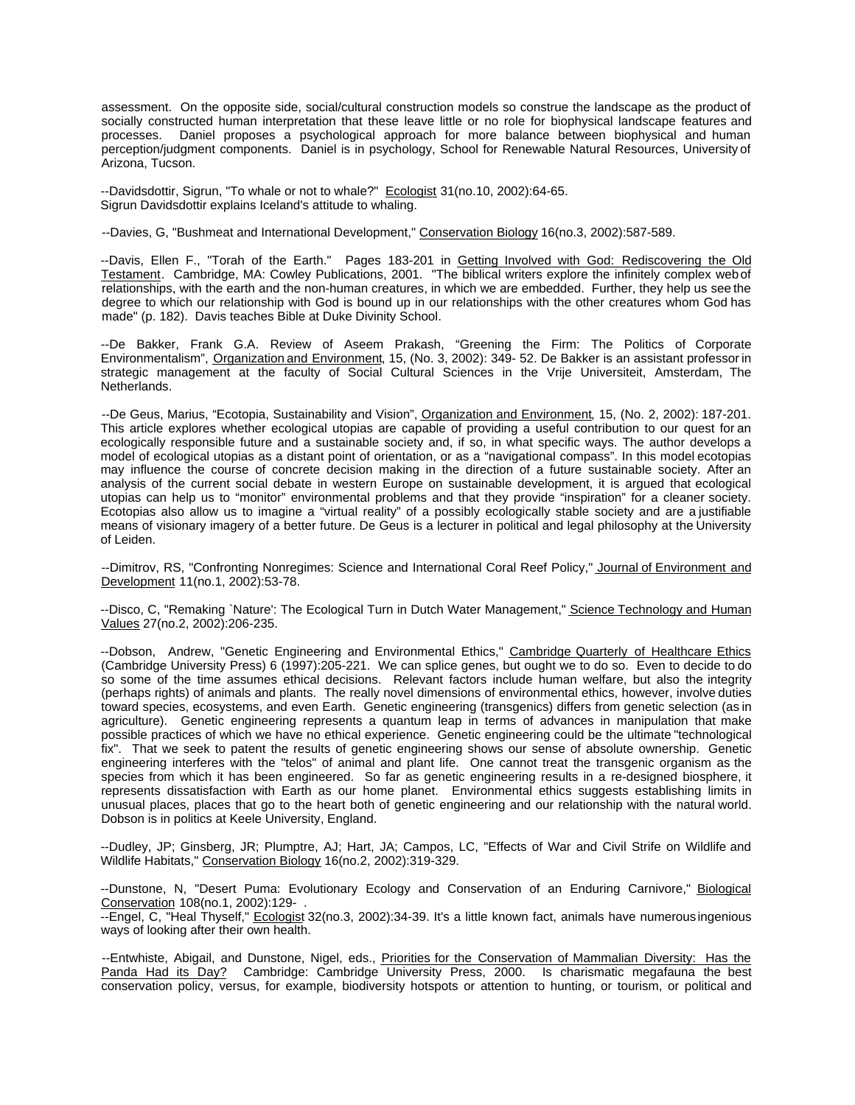assessment. On the opposite side, social/cultural construction models so construe the landscape as the product of socially constructed human interpretation that these leave little or no role for biophysical landscape features and processes. Daniel proposes a psychological approach for more balance between biophysical and human perception/judgment components. Daniel is in psychology, School for Renewable Natural Resources, University of Arizona, Tucson.

--Davidsdottir, Sigrun, "To whale or not to whale?" Ecologist 31(no.10, 2002):64-65. Sigrun Davidsdottir explains Iceland's attitude to whaling.

--Davies, G, "Bushmeat and International Development," Conservation Biology 16(no.3, 2002):587-589.

--Davis, Ellen F., "Torah of the Earth." Pages 183-201 in Getting Involved with God: Rediscovering the Old Testament. Cambridge, MA: Cowley Publications, 2001. "The biblical writers explore the infinitely complex web of relationships, with the earth and the non-human creatures, in which we are embedded. Further, they help us see the degree to which our relationship with God is bound up in our relationships with the other creatures whom God has made" (p. 182). Davis teaches Bible at Duke Divinity School.

--De Bakker, Frank G.A. Review of Aseem Prakash, "Greening the Firm: The Politics of Corporate Environmentalism", Organization and Environment, 15, (No. 3, 2002): 349- 52. De Bakker is an assistant professor in strategic management at the faculty of Social Cultural Sciences in the Vrije Universiteit, Amsterdam, The Netherlands.

--De Geus, Marius, "Ecotopia, Sustainability and Vision", Organization and Environment, 15, (No. 2, 2002): 187-201. This article explores whether ecological utopias are capable of providing a useful contribution to our quest for an ecologically responsible future and a sustainable society and, if so, in what specific ways. The author develops a model of ecological utopias as a distant point of orientation, or as a "navigational compass". In this model ecotopias may influence the course of concrete decision making in the direction of a future sustainable society. After an analysis of the current social debate in western Europe on sustainable development, it is argued that ecological utopias can help us to "monitor" environmental problems and that they provide "inspiration" for a cleaner society. Ecotopias also allow us to imagine a "virtual reality" of a possibly ecologically stable society and are a justifiable means of visionary imagery of a better future. De Geus is a lecturer in political and legal philosophy at the University of Leiden.

--Dimitrov, RS, "Confronting Nonregimes: Science and International Coral Reef Policy," Journal of Environment and Development 11(no.1, 2002):53-78.

--Disco, C, "Remaking `Nature': The Ecological Turn in Dutch Water Management," Science Technology and Human Values 27(no.2, 2002):206-235.

--Dobson, Andrew, "Genetic Engineering and Environmental Ethics," Cambridge Quarterly of Healthcare Ethics (Cambridge University Press) 6 (1997):205-221. We can splice genes, but ought we to do so. Even to decide to do so some of the time assumes ethical decisions. Relevant factors include human welfare, but also the integrity (perhaps rights) of animals and plants. The really novel dimensions of environmental ethics, however, involve duties toward species, ecosystems, and even Earth. Genetic engineering (transgenics) differs from genetic selection (as in agriculture). Genetic engineering represents a quantum leap in terms of advances in manipulation that make possible practices of which we have no ethical experience. Genetic engineering could be the ultimate "technological fix". That we seek to patent the results of genetic engineering shows our sense of absolute ownership. Genetic engineering interferes with the "telos" of animal and plant life. One cannot treat the transgenic organism as the species from which it has been engineered. So far as genetic engineering results in a re-designed biosphere, it represents dissatisfaction with Earth as our home planet. Environmental ethics suggests establishing limits in unusual places, places that go to the heart both of genetic engineering and our relationship with the natural world. Dobson is in politics at Keele University, England.

--Dudley, JP; Ginsberg, JR; Plumptre, AJ; Hart, JA; Campos, LC, "Effects of War and Civil Strife on Wildlife and Wildlife Habitats," Conservation Biology 16(no.2, 2002):319-329.

--Dunstone, N, "Desert Puma: Evolutionary Ecology and Conservation of an Enduring Carnivore," Biological Conservation 108(no.1, 2002):129- .

--Engel, C, "Heal Thyself," Ecologist 32(no.3, 2002):34-39. It's a little known fact, animals have numerous ingenious ways of looking after their own health.

--Entwhiste, Abigail, and Dunstone, Nigel, eds., Priorities for the Conservation of Mammalian Diversity: Has the Panda Had its Day? Cambridge: Cambridge University Press, 2000. Is charismatic megafauna the best conservation policy, versus, for example, biodiversity hotspots or attention to hunting, or tourism, or political and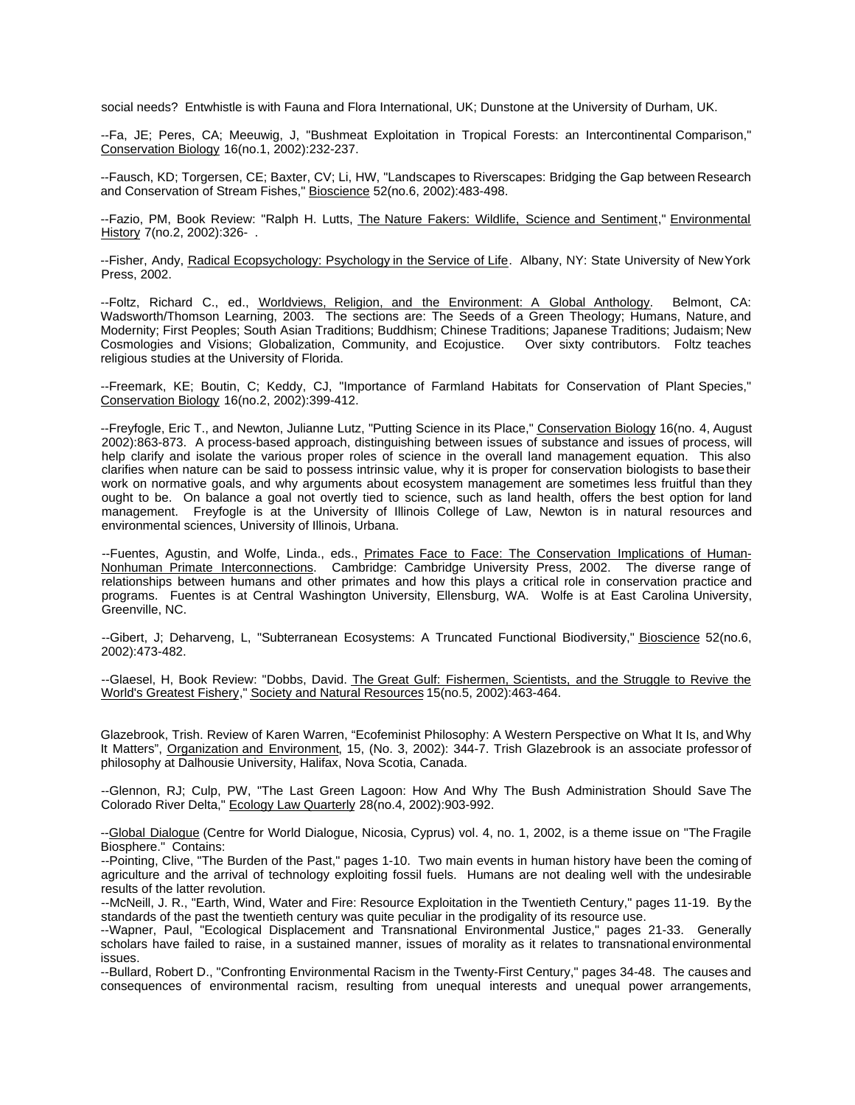social needs? Entwhistle is with Fauna and Flora International, UK; Dunstone at the University of Durham, UK.

--Fa, JE; Peres, CA; Meeuwig, J, "Bushmeat Exploitation in Tropical Forests: an Intercontinental Comparison," Conservation Biology 16(no.1, 2002):232-237.

--Fausch, KD; Torgersen, CE; Baxter, CV; Li, HW, "Landscapes to Riverscapes: Bridging the Gap between Research and Conservation of Stream Fishes," Bioscience 52(no.6, 2002):483-498.

--Fazio, PM, Book Review: "Ralph H. Lutts, The Nature Fakers: Wildlife, Science and Sentiment," Environmental History 7(no.2, 2002):326- .

--Fisher, Andy, Radical Ecopsychology: Psychology in the Service of Life. Albany, NY: State University of New York Press, 2002.

--Foltz, Richard C., ed., Worldviews, Religion, and the Environment: A Global Anthology. Belmont, CA: Wadsworth/Thomson Learning, 2003. The sections are: The Seeds of a Green Theology; Humans, Nature, and Modernity; First Peoples; South Asian Traditions; Buddhism; Chinese Traditions; Japanese Traditions; Judaism; New Cosmologies and Visions; Globalization, Community, and Ecojustice. Over sixty contributors. Foltz teaches religious studies at the University of Florida.

--Freemark, KE; Boutin, C; Keddy, CJ, "Importance of Farmland Habitats for Conservation of Plant Species," Conservation Biology 16(no.2, 2002):399-412.

--Freyfogle, Eric T., and Newton, Julianne Lutz, "Putting Science in its Place," Conservation Biology 16(no. 4, August 2002):863-873. A process-based approach, distinguishing between issues of substance and issues of process, will help clarify and isolate the various proper roles of science in the overall land management equation. This also clarifies when nature can be said to possess intrinsic value, why it is proper for conservation biologists to base their work on normative goals, and why arguments about ecosystem management are sometimes less fruitful than they ought to be. On balance a goal not overtly tied to science, such as land health, offers the best option for land management. Freyfogle is at the University of Illinois College of Law, Newton is in natural resources and environmental sciences, University of Illinois, Urbana.

--Fuentes, Agustin, and Wolfe, Linda., eds., Primates Face to Face: The Conservation Implications of Human-Nonhuman Primate Interconnections. Cambridge: Cambridge University Press, 2002. The diverse range of relationships between humans and other primates and how this plays a critical role in conservation practice and programs. Fuentes is at Central Washington University, Ellensburg, WA. Wolfe is at East Carolina University, Greenville, NC.

--Gibert, J; Deharveng, L, "Subterranean Ecosystems: A Truncated Functional Biodiversity," Bioscience 52(no.6, 2002):473-482.

--Glaesel, H, Book Review: "Dobbs, David. The Great Gulf: Fishermen, Scientists, and the Struggle to Revive the World's Greatest Fishery," Society and Natural Resources 15(no.5, 2002):463-464.

Glazebrook, Trish. Review of Karen Warren, "Ecofeminist Philosophy: A Western Perspective on What It Is, and Why It Matters", Organization and Environment, 15, (No. 3, 2002): 344-7. Trish Glazebrook is an associate professor of philosophy at Dalhousie University, Halifax, Nova Scotia, Canada.

--Glennon, RJ; Culp, PW, "The Last Green Lagoon: How And Why The Bush Administration Should Save The Colorado River Delta," Ecology Law Quarterly 28(no.4, 2002):903-992.

--Global Dialogue (Centre for World Dialogue, Nicosia, Cyprus) vol. 4, no. 1, 2002, is a theme issue on "The Fragile Biosphere." Contains:

--Pointing, Clive, "The Burden of the Past," pages 1-10. Two main events in human history have been the coming of agriculture and the arrival of technology exploiting fossil fuels. Humans are not dealing well with the undesirable results of the latter revolution.

--McNeill, J. R., "Earth, Wind, Water and Fire: Resource Exploitation in the Twentieth Century," pages 11-19. By the standards of the past the twentieth century was quite peculiar in the prodigality of its resource use.

--Wapner, Paul, "Ecological Displacement and Transnational Environmental Justice," pages 21-33. Generally scholars have failed to raise, in a sustained manner, issues of morality as it relates to transnational environmental issues.

--Bullard, Robert D., "Confronting Environmental Racism in the Twenty-First Century," pages 34-48. The causes and consequences of environmental racism, resulting from unequal interests and unequal power arrangements,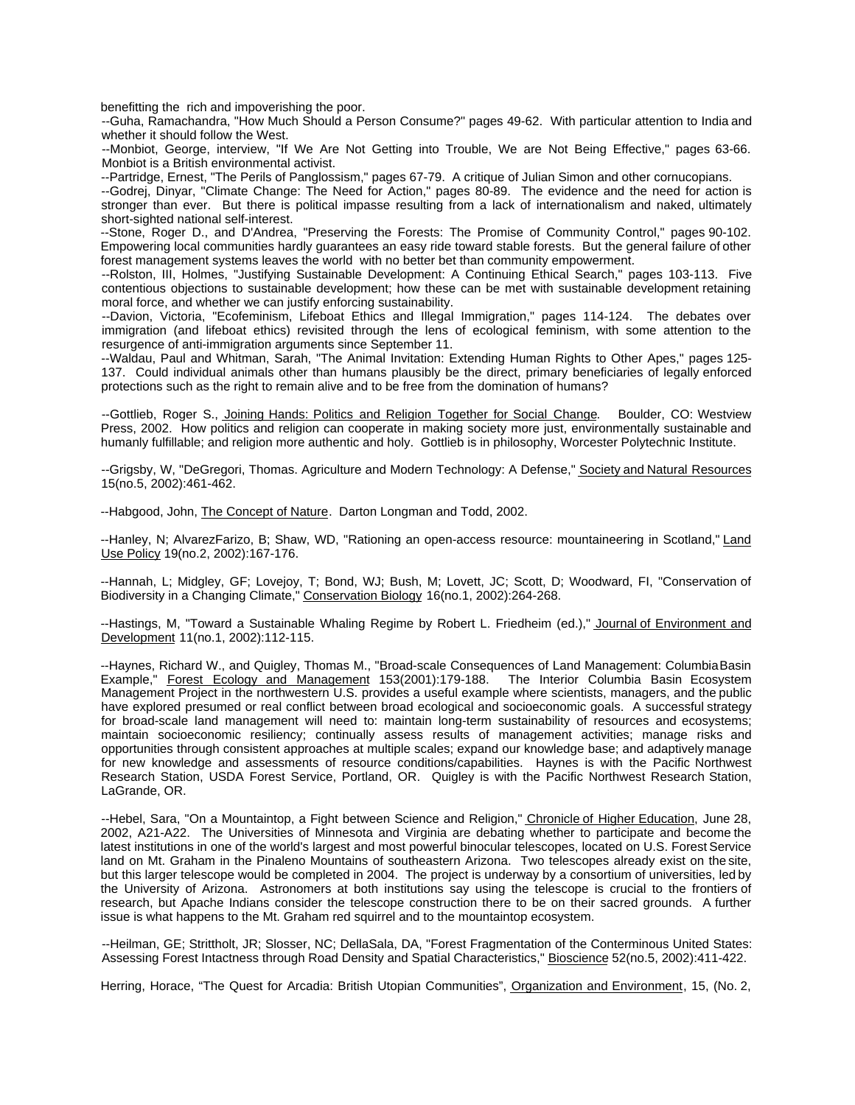benefitting the rich and impoverishing the poor.

--Guha, Ramachandra, "How Much Should a Person Consume?" pages 49-62. With particular attention to India and whether it should follow the West.

--Monbiot, George, interview, "If We Are Not Getting into Trouble, We are Not Being Effective," pages 63-66. Monbiot is a British environmental activist.

--Partridge, Ernest, "The Perils of Panglossism," pages 67-79. A critique of Julian Simon and other cornucopians.

--Godrej, Dinyar, "Climate Change: The Need for Action," pages 80-89. The evidence and the need for action is stronger than ever. But there is political impasse resulting from a lack of internationalism and naked, ultimately short-sighted national self-interest.

--Stone, Roger D., and D'Andrea, "Preserving the Forests: The Promise of Community Control," pages 90-102. Empowering local communities hardly guarantees an easy ride toward stable forests. But the general failure of other forest management systems leaves the world with no better bet than community empowerment.

--Rolston, III, Holmes, "Justifying Sustainable Development: A Continuing Ethical Search," pages 103-113. Five contentious objections to sustainable development; how these can be met with sustainable development retaining moral force, and whether we can justify enforcing sustainability.

--Davion, Victoria, "Ecofeminism, Lifeboat Ethics and Illegal Immigration," pages 114-124. The debates over immigration (and lifeboat ethics) revisited through the lens of ecological feminism, with some attention to the resurgence of anti-immigration arguments since September 11.

--Waldau, Paul and Whitman, Sarah, "The Animal Invitation: Extending Human Rights to Other Apes," pages 125- 137. Could individual animals other than humans plausibly be the direct, primary beneficiaries of legally enforced protections such as the right to remain alive and to be free from the domination of humans?

--Gottlieb, Roger S., Joining Hands: Politics and Religion Together for Social Change. Boulder, CO: Westview Press, 2002. How politics and religion can cooperate in making society more just, environmentally sustainable and humanly fulfillable; and religion more authentic and holy. Gottlieb is in philosophy, Worcester Polytechnic Institute.

--Grigsby, W, "DeGregori, Thomas. Agriculture and Modern Technology: A Defense," Society and Natural Resources 15(no.5, 2002):461-462.

--Habgood, John, The Concept of Nature. Darton Longman and Todd, 2002.

--Hanley, N; AlvarezFarizo, B; Shaw, WD, "Rationing an open-access resource: mountaineering in Scotland," Land Use Policy 19(no.2, 2002):167-176.

--Hannah, L; Midgley, GF; Lovejoy, T; Bond, WJ; Bush, M; Lovett, JC; Scott, D; Woodward, FI, "Conservation of Biodiversity in a Changing Climate," Conservation Biology 16(no.1, 2002):264-268.

--Hastings, M, "Toward a Sustainable Whaling Regime by Robert L. Friedheim (ed.)," Journal of Environment and Development 11(no.1, 2002):112-115.

--Haynes, Richard W., and Quigley, Thomas M., "Broad-scale Consequences of Land Management: Columbia Basin Example," Forest Ecology and Management 153(2001):179-188. Management Project in the northwestern U.S. provides a useful example where scientists, managers, and the public have explored presumed or real conflict between broad ecological and socioeconomic goals. A successful strategy for broad-scale land management will need to: maintain long-term sustainability of resources and ecosystems; maintain socioeconomic resiliency; continually assess results of management activities; manage risks and opportunities through consistent approaches at multiple scales; expand our knowledge base; and adaptively manage for new knowledge and assessments of resource conditions/capabilities. Haynes is with the Pacific Northwest Research Station, USDA Forest Service, Portland, OR. Quigley is with the Pacific Northwest Research Station, LaGrande, OR.

--Hebel, Sara, "On a Mountaintop, a Fight between Science and Religion," Chronicle of Higher Education, June 28, 2002, A21-A22. The Universities of Minnesota and Virginia are debating whether to participate and become the latest institutions in one of the world's largest and most powerful binocular telescopes, located on U.S. Forest Service land on Mt. Graham in the Pinaleno Mountains of southeastern Arizona. Two telescopes already exist on the site, but this larger telescope would be completed in 2004. The project is underway by a consortium of universities, led by the University of Arizona. Astronomers at both institutions say using the telescope is crucial to the frontiers of research, but Apache Indians consider the telescope construction there to be on their sacred grounds. A further issue is what happens to the Mt. Graham red squirrel and to the mountaintop ecosystem.

--Heilman, GE; Strittholt, JR; Slosser, NC; DellaSala, DA, "Forest Fragmentation of the Conterminous United States: Assessing Forest Intactness through Road Density and Spatial Characteristics," Bioscience 52(no.5, 2002):411-422.

Herring, Horace, "The Quest for Arcadia: British Utopian Communities", Organization and Environment, 15, (No. 2,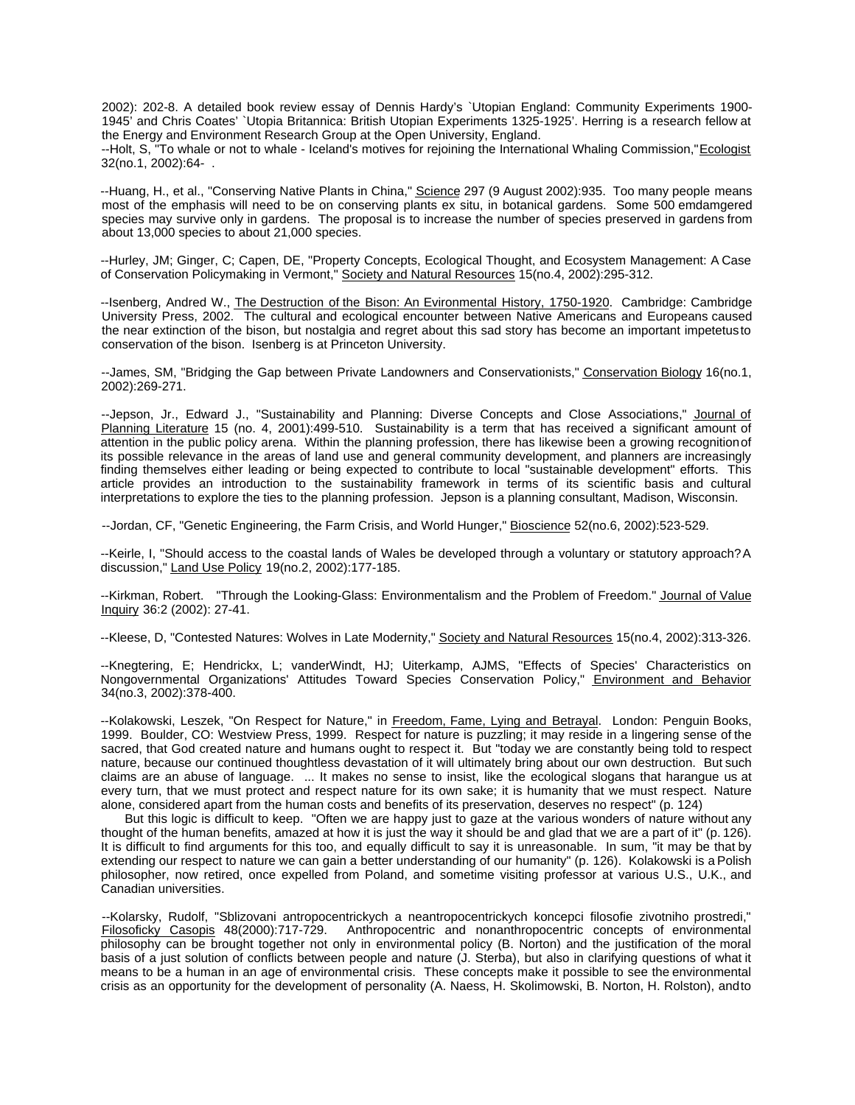2002): 202-8. A detailed book review essay of Dennis Hardy's `Utopian England: Community Experiments 1900- 1945' and Chris Coates' `Utopia Britannica: British Utopian Experiments 1325-1925'. Herring is a research fellow at the Energy and Environment Research Group at the Open University, England.

--Holt, S, "To whale or not to whale - Iceland's motives for rejoining the International Whaling Commission,"Ecologist 32(no.1, 2002):64- .

--Huang, H., et al., "Conserving Native Plants in China," Science 297 (9 August 2002):935. Too many people means most of the emphasis will need to be on conserving plants ex situ, in botanical gardens. Some 500 emdamgered species may survive only in gardens. The proposal is to increase the number of species preserved in gardens from about 13,000 species to about 21,000 species.

--Hurley, JM; Ginger, C; Capen, DE, "Property Concepts, Ecological Thought, and Ecosystem Management: A Case of Conservation Policymaking in Vermont," Society and Natural Resources 15(no.4, 2002):295-312.

--Isenberg, Andred W., The Destruction of the Bison: An Evironmental History, 1750-1920. Cambridge: Cambridge University Press, 2002. The cultural and ecological encounter between Native Americans and Europeans caused the near extinction of the bison, but nostalgia and regret about this sad story has become an important impetetus to conservation of the bison. Isenberg is at Princeton University.

--James, SM, "Bridging the Gap between Private Landowners and Conservationists," Conservation Biology 16(no.1, 2002):269-271.

--Jepson, Jr., Edward J., "Sustainability and Planning: Diverse Concepts and Close Associations," Journal of Planning Literature 15 (no. 4, 2001):499-510. Sustainability is a term that has received a significant amount of attention in the public policy arena. Within the planning profession, there has likewise been a growing recognition of its possible relevance in the areas of land use and general community development, and planners are increasingly finding themselves either leading or being expected to contribute to local "sustainable development" efforts. This article provides an introduction to the sustainability framework in terms of its scientific basis and cultural interpretations to explore the ties to the planning profession. Jepson is a planning consultant, Madison, Wisconsin.

--Jordan, CF, "Genetic Engineering, the Farm Crisis, and World Hunger," Bioscience 52(no.6, 2002):523-529.

--Keirle, I, "Should access to the coastal lands of Wales be developed through a voluntary or statutory approach? A discussion," Land Use Policy 19(no.2, 2002):177-185.

--Kirkman, Robert. "Through the Looking-Glass: Environmentalism and the Problem of Freedom." Journal of Value Inquiry 36:2 (2002): 27-41.

--Kleese, D, "Contested Natures: Wolves in Late Modernity," Society and Natural Resources 15(no.4, 2002):313-326.

--Knegtering, E; Hendrickx, L; vanderWindt, HJ; Uiterkamp, AJMS, "Effects of Species' Characteristics on Nongovernmental Organizations' Attitudes Toward Species Conservation Policy," Environment and Behavior 34(no.3, 2002):378-400.

--Kolakowski, Leszek, "On Respect for Nature," in Freedom, Fame, Lying and Betrayal. London: Penguin Books, 1999. Boulder, CO: Westview Press, 1999. Respect for nature is puzzling; it may reside in a lingering sense of the sacred, that God created nature and humans ought to respect it. But "today we are constantly being told to respect nature, because our continued thoughtless devastation of it will ultimately bring about our own destruction. But such claims are an abuse of language. ... It makes no sense to insist, like the ecological slogans that harangue us at every turn, that we must protect and respect nature for its own sake; it is humanity that we must respect. Nature alone, considered apart from the human costs and benefits of its preservation, deserves no respect" (p. 124)

But this logic is difficult to keep. "Often we are happy just to gaze at the various wonders of nature without any thought of the human benefits, amazed at how it is just the way it should be and glad that we are a part of it" (p. 126). It is difficult to find arguments for this too, and equally difficult to say it is unreasonable. In sum, "it may be that by extending our respect to nature we can gain a better understanding of our humanity" (p. 126). Kolakowski is a Polish philosopher, now retired, once expelled from Poland, and sometime visiting professor at various U.S., U.K., and Canadian universities.

--Kolarsky, Rudolf, "Sblizovani antropocentrickych a neantropocentrickych koncepci filosofie zivotniho prostredi," Anthropocentric and nonanthropocentric concepts of environmental philosophy can be brought together not only in environmental policy (B. Norton) and the justification of the moral basis of a just solution of conflicts between people and nature (J. Sterba), but also in clarifying questions of what it means to be a human in an age of environmental crisis. These concepts make it possible to see the environmental crisis as an opportunity for the development of personality (A. Naess, H. Skolimowski, B. Norton, H. Rolston), and to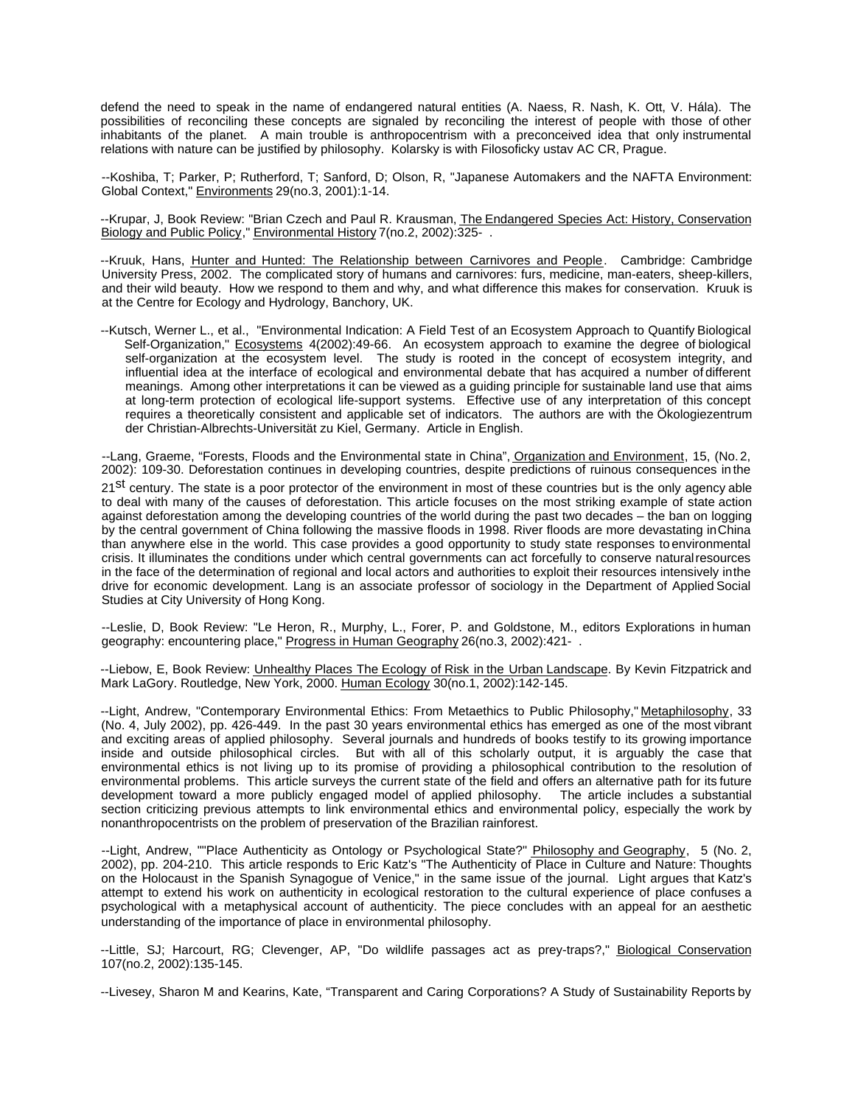defend the need to speak in the name of endangered natural entities (A. Naess, R. Nash, K. Ott, V. Hála). The possibilities of reconciling these concepts are signaled by reconciling the interest of people with those of other inhabitants of the planet. A main trouble is anthropocentrism with a preconceived idea that only instrumental relations with nature can be justified by philosophy. Kolarsky is with Filosoficky ustav AC CR, Prague.

--Koshiba, T; Parker, P; Rutherford, T; Sanford, D; Olson, R, "Japanese Automakers and the NAFTA Environment: Global Context," Environments 29(no.3, 2001):1-14.

--Krupar, J, Book Review: "Brian Czech and Paul R. Krausman, The Endangered Species Act: History, Conservation Biology and Public Policy," Environmental History 7(no.2, 2002):325- .

--Kruuk, Hans, Hunter and Hunted: The Relationship between Carnivores and People. Cambridge: Cambridge University Press, 2002. The complicated story of humans and carnivores: furs, medicine, man-eaters, sheep-killers, and their wild beauty. How we respond to them and why, and what difference this makes for conservation. Kruuk is at the Centre for Ecology and Hydrology, Banchory, UK.

--Kutsch, Werner L., et al., "Environmental Indication: A Field Test of an Ecosystem Approach to Quantify Biological Self-Organization," Ecosystems 4(2002):49-66. An ecosystem approach to examine the degree of biological self-organization at the ecosystem level. The study is rooted in the concept of ecosystem integrity, and influential idea at the interface of ecological and environmental debate that has acquired a number of different meanings. Among other interpretations it can be viewed as a guiding principle for sustainable land use that aims at long-term protection of ecological life-support systems. Effective use of any interpretation of this concept requires a theoretically consistent and applicable set of indicators. The authors are with the Ökologiezentrum der Christian-Albrechts-Universität zu Kiel, Germany. Article in English.

--Lang, Graeme, "Forests, Floods and the Environmental state in China", Organization and Environment, 15, (No. 2, 2002): 109-30. Deforestation continues in developing countries, despite predictions of ruinous consequences in the

21st century. The state is a poor protector of the environment in most of these countries but is the only agency able to deal with many of the causes of deforestation. This article focuses on the most striking example of state action against deforestation among the developing countries of the world during the past two decades – the ban on logging by the central government of China following the massive floods in 1998. River floods are more devastating in China than anywhere else in the world. This case provides a good opportunity to study state responses to environmental crisis. It illuminates the conditions under which central governments can act forcefully to conserve natural resources in the face of the determination of regional and local actors and authorities to exploit their resources intensively in the drive for economic development. Lang is an associate professor of sociology in the Department of Applied Social Studies at City University of Hong Kong.

--Leslie, D, Book Review: "Le Heron, R., Murphy, L., Forer, P. and Goldstone, M., editors Explorations in human geography: encountering place," Progress in Human Geography 26(no.3, 2002):421- .

--Liebow, E, Book Review: Unhealthy Places The Ecology of Risk in the Urban Landscape. By Kevin Fitzpatrick and Mark LaGory. Routledge, New York, 2000. Human Ecology 30(no.1, 2002):142-145.

--Light, Andrew, "Contemporary Environmental Ethics: From Metaethics to Public Philosophy," Metaphilosophy, 33 (No. 4, July 2002), pp. 426-449. In the past 30 years environmental ethics has emerged as one of the most vibrant and exciting areas of applied philosophy. Several journals and hundreds of books testify to its growing importance inside and outside philosophical circles. But with all of this scholarly output, it is arguably the case that environmental ethics is not living up to its promise of providing a philosophical contribution to the resolution of environmental problems. This article surveys the current state of the field and offers an alternative path for its future development toward a more publicly engaged model of applied philosophy. The article includes a substantial section criticizing previous attempts to link environmental ethics and environmental policy, especially the work by nonanthropocentrists on the problem of preservation of the Brazilian rainforest.

--Light, Andrew, ""Place Authenticity as Ontology or Psychological State?" Philosophy and Geography, 5 (No. 2, 2002), pp. 204-210. This article responds to Eric Katz's "The Authenticity of Place in Culture and Nature: Thoughts on the Holocaust in the Spanish Synagogue of Venice," in the same issue of the journal. Light argues that Katz's attempt to extend his work on authenticity in ecological restoration to the cultural experience of place confuses a psychological with a metaphysical account of authenticity. The piece concludes with an appeal for an aesthetic understanding of the importance of place in environmental philosophy.

--Little, SJ; Harcourt, RG; Clevenger, AP, "Do wildlife passages act as prey-traps?," Biological Conservation 107(no.2, 2002):135-145.

--Livesey, Sharon M and Kearins, Kate, "Transparent and Caring Corporations? A Study of Sustainability Reports by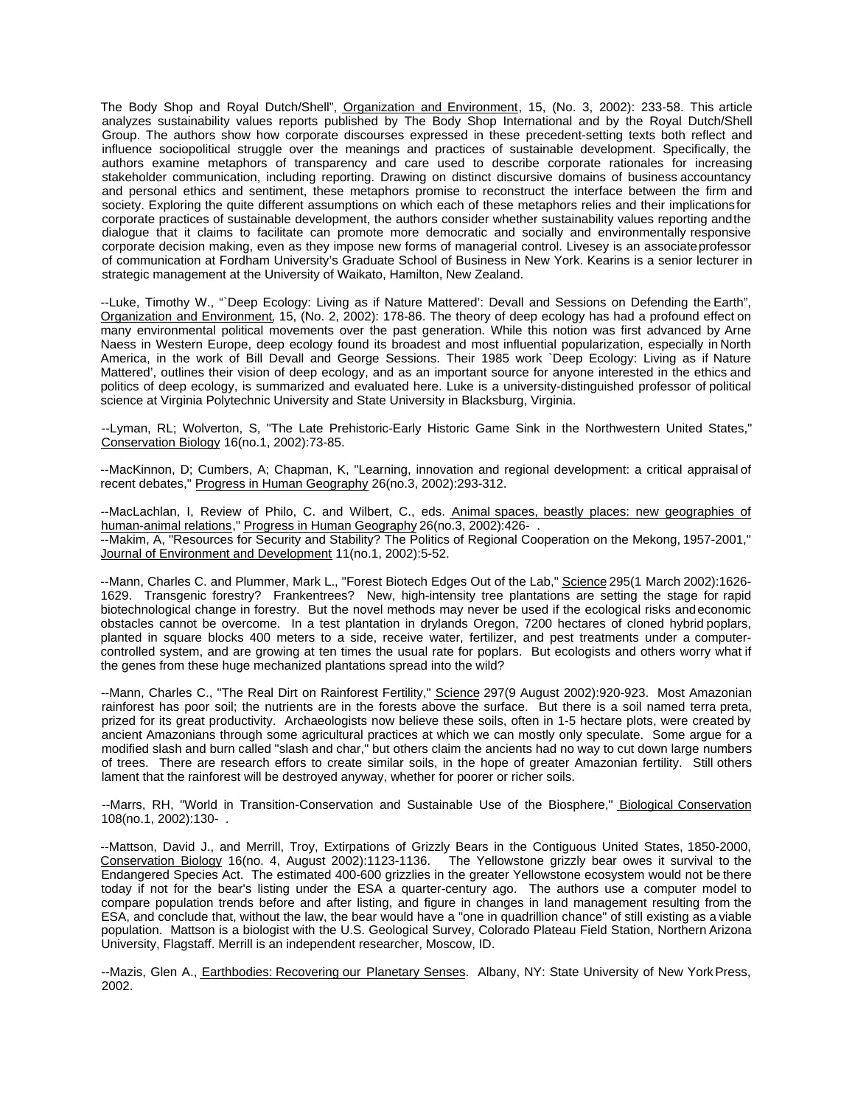The Body Shop and Royal Dutch/Shell", Organization and Environment, 15, (No. 3, 2002): 233-58. This article analyzes sustainability values reports published by The Body Shop International and by the Royal Dutch/Shell Group. The authors show how corporate discourses expressed in these precedent-setting texts both reflect and influence sociopolitical struggle over the meanings and practices of sustainable development. Specifically, the authors examine metaphors of transparency and care used to describe corporate rationales for increasing stakeholder communication, including reporting. Drawing on distinct discursive domains of business accountancy and personal ethics and sentiment, these metaphors promise to reconstruct the interface between the firm and society. Exploring the quite different assumptions on which each of these metaphors relies and their implications for corporate practices of sustainable development, the authors consider whether sustainability values reporting and the dialogue that it claims to facilitate can promote more democratic and socially and environmentally responsive corporate decision making, even as they impose new forms of managerial control. Livesey is an associate professor of communication at Fordham University's Graduate School of Business in New York. Kearins is a senior lecturer in strategic management at the University of Waikato, Hamilton, New Zealand.

--Luke, Timothy W., "`Deep Ecology: Living as if Nature Mattered': Devall and Sessions on Defending the Earth", Organization and Environment, 15, (No. 2, 2002): 178-86. The theory of deep ecology has had a profound effect on many environmental political movements over the past generation. While this notion was first advanced by Arne Naess in Western Europe, deep ecology found its broadest and most influential popularization, especially in North America, in the work of Bill Devall and George Sessions. Their 1985 work `Deep Ecology: Living as if Nature Mattered', outlines their vision of deep ecology, and as an important source for anyone interested in the ethics and politics of deep ecology, is summarized and evaluated here. Luke is a university-distinguished professor of political science at Virginia Polytechnic University and State University in Blacksburg, Virginia.

--Lyman, RL; Wolverton, S, "The Late Prehistoric-Early Historic Game Sink in the Northwestern United States," Conservation Biology 16(no.1, 2002):73-85.

--MacKinnon, D; Cumbers, A; Chapman, K, "Learning, innovation and regional development: a critical appraisal of recent debates," Progress in Human Geography 26(no.3, 2002):293-312.

--MacLachlan, I, Review of Philo, C. and Wilbert, C., eds. Animal spaces, beastly places: new geographies of human-animal relations," Progress in Human Geography 26(no.3, 2002):426- . --Makim, A, "Resources for Security and Stability? The Politics of Regional Cooperation on the Mekong, 1957-2001," Journal of Environment and Development 11(no.1, 2002):5-52.

--Mann, Charles C. and Plummer, Mark L., "Forest Biotech Edges Out of the Lab," Science 295(1 March 2002):1626- 1629. Transgenic forestry? Frankentrees? New, high-intensity tree plantations are setting the stage for rapid biotechnological change in forestry. But the novel methods may never be used if the ecological risks and economic obstacles cannot be overcome. In a test plantation in drylands Oregon, 7200 hectares of cloned hybrid poplars, planted in square blocks 400 meters to a side, receive water, fertilizer, and pest treatments under a computercontrolled system, and are growing at ten times the usual rate for poplars. But ecologists and others worry what if the genes from these huge mechanized plantations spread into the wild?

--Mann, Charles C., "The Real Dirt on Rainforest Fertility," Science 297(9 August 2002):920-923. Most Amazonian rainforest has poor soil; the nutrients are in the forests above the surface. But there is a soil named terra preta, prized for its great productivity. Archaeologists now believe these soils, often in 1-5 hectare plots, were created by ancient Amazonians through some agricultural practices at which we can mostly only speculate. Some argue for a modified slash and burn called "slash and char," but others claim the ancients had no way to cut down large numbers of trees. There are research effors to create similar soils, in the hope of greater Amazonian fertility. Still others lament that the rainforest will be destroyed anyway, whether for poorer or richer soils.

--Marrs, RH, "World in Transition-Conservation and Sustainable Use of the Biosphere," Biological Conservation 108(no.1, 2002):130- .

--Mattson, David J., and Merrill, Troy, Extirpations of Grizzly Bears in the Contiguous United States, 1850-2000, Conservation Biology 16(no. 4, August 2002):1123-1136. The Yellowstone grizzly bear owes it survival to the Endangered Species Act. The estimated 400-600 grizzlies in the greater Yellowstone ecosystem would not be there today if not for the bear's listing under the ESA a quarter-century ago. The authors use a computer model to compare population trends before and after listing, and figure in changes in land management resulting from the ESA, and conclude that, without the law, the bear would have a "one in quadrillion chance" of still existing as a viable population. Mattson is a biologist with the U.S. Geological Survey, Colorado Plateau Field Station, Northern Arizona University, Flagstaff. Merrill is an independent researcher, Moscow, ID.

--Mazis, Glen A., Earthbodies: Recovering our Planetary Senses. Albany, NY: State University of New York Press, 2002.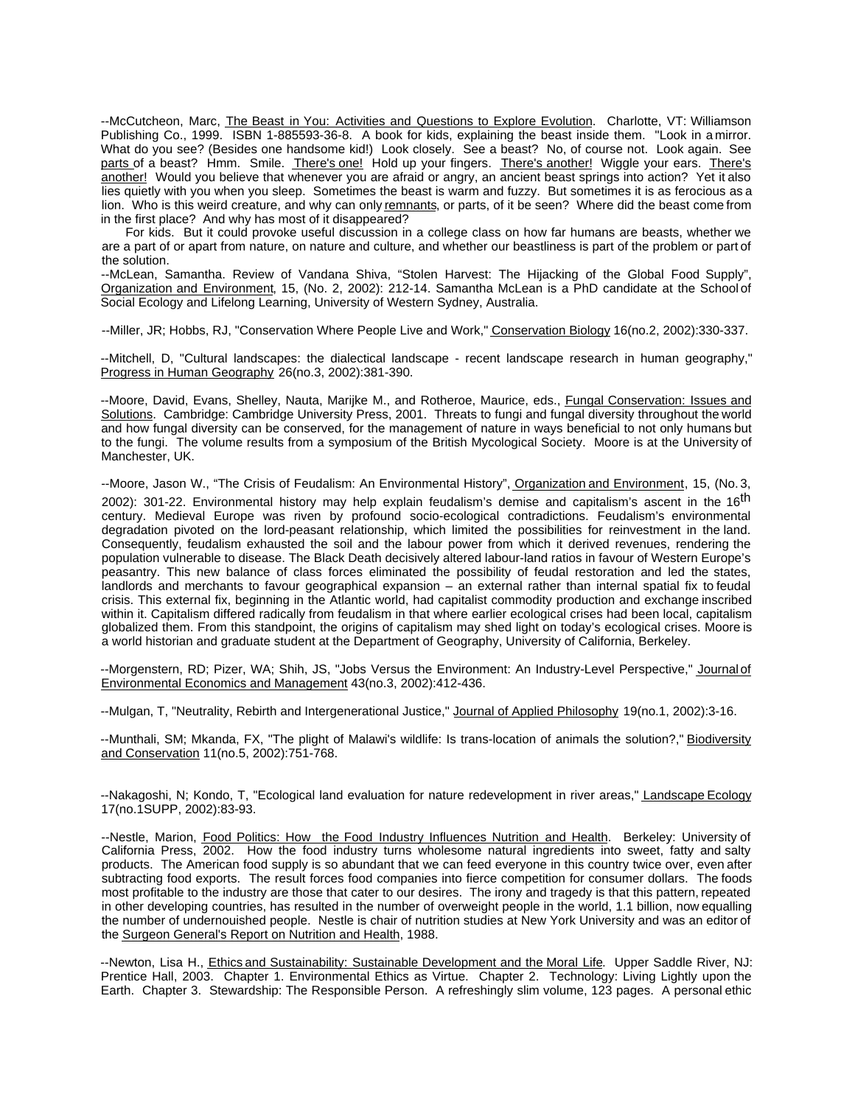--McCutcheon, Marc, The Beast in You: Activities and Questions to Explore Evolution. Charlotte, VT: Williamson Publishing Co., 1999. ISBN 1-885593-36-8. A book for kids, explaining the beast inside them. "Look in a mirror. What do you see? (Besides one handsome kid!) Look closely. See a beast? No, of course not. Look again. See parts of a beast? Hmm. Smile. There's one! Hold up your fingers. There's another! Wiggle your ears. There's another! Would you believe that whenever you are afraid or angry, an ancient beast springs into action? Yet it also lies quietly with you when you sleep. Sometimes the beast is warm and fuzzy. But sometimes it is as ferocious as a lion. Who is this weird creature, and why can only remnants, or parts, of it be seen? Where did the beast come from in the first place? And why has most of it disappeared?

For kids. But it could provoke useful discussion in a college class on how far humans are beasts, whether we are a part of or apart from nature, on nature and culture, and whether our beastliness is part of the problem or part of the solution.

--McLean, Samantha. Review of Vandana Shiva, "Stolen Harvest: The Hijacking of the Global Food Supply", Organization and Environment, 15, (No. 2, 2002): 212-14. Samantha McLean is a PhD candidate at the School of Social Ecology and Lifelong Learning, University of Western Sydney, Australia.

--Miller, JR; Hobbs, RJ, "Conservation Where People Live and Work," Conservation Biology 16(no.2, 2002):330-337.

--Mitchell, D, "Cultural landscapes: the dialectical landscape - recent landscape research in human geography," Progress in Human Geography 26(no.3, 2002):381-390.

--Moore, David, Evans, Shelley, Nauta, Marijke M., and Rotheroe, Maurice, eds., Fungal Conservation: Issues and Solutions. Cambridge: Cambridge University Press, 2001. Threats to fungi and fungal diversity throughout the world and how fungal diversity can be conserved, for the management of nature in ways beneficial to not only humans but to the fungi. The volume results from a symposium of the British Mycological Society. Moore is at the University of Manchester, UK.

--Moore, Jason W., "The Crisis of Feudalism: An Environmental History", Organization and Environment, 15, (No.3, 2002): 301-22. Environmental history may help explain feudalism's demise and capitalism's ascent in the 16<sup>th</sup> century. Medieval Europe was riven by profound socio-ecological contradictions. Feudalism's environmental degradation pivoted on the lord-peasant relationship, which limited the possibilities for reinvestment in the land. Consequently, feudalism exhausted the soil and the labour power from which it derived revenues, rendering the population vulnerable to disease. The Black Death decisively altered labour-land ratios in favour of Western Europe's peasantry. This new balance of class forces eliminated the possibility of feudal restoration and led the states, landlords and merchants to favour geographical expansion – an external rather than internal spatial fix to feudal crisis. This external fix, beginning in the Atlantic world, had capitalist commodity production and exchange inscribed within it. Capitalism differed radically from feudalism in that where earlier ecological crises had been local, capitalism globalized them. From this standpoint, the origins of capitalism may shed light on today's ecological crises. Moore is a world historian and graduate student at the Department of Geography, University of California, Berkeley.

--Morgenstern, RD; Pizer, WA; Shih, JS, "Jobs Versus the Environment: An Industry-Level Perspective," Journal of Environmental Economics and Management 43(no.3, 2002):412-436.

--Mulgan, T, "Neutrality, Rebirth and Intergenerational Justice," Journal of Applied Philosophy 19(no.1, 2002):3-16.

--Munthali, SM; Mkanda, FX, "The plight of Malawi's wildlife: Is trans-location of animals the solution?," Biodiversity and Conservation 11(no.5, 2002):751-768.

--Nakagoshi, N; Kondo, T, "Ecological land evaluation for nature redevelopment in river areas," Landscape Ecology 17(no.1SUPP, 2002):83-93.

--Nestle, Marion, Food Politics: How the Food Industry Influences Nutrition and Health. Berkeley: University of California Press, 2002. How the food industry turns wholesome natural ingredients into sweet, fatty and salty products. The American food supply is so abundant that we can feed everyone in this country twice over, even after subtracting food exports. The result forces food companies into fierce competition for consumer dollars. The foods most profitable to the industry are those that cater to our desires. The irony and tragedy is that this pattern, repeated in other developing countries, has resulted in the number of overweight people in the world, 1.1 billion, now equalling the number of undernouished people. Nestle is chair of nutrition studies at New York University and was an editor of the Surgeon General's Report on Nutrition and Health, 1988.

--Newton, Lisa H., *Ethics and Sustainability: Sustainable Development and the Moral Life. Upper Saddle River*, NJ: Prentice Hall, 2003. Chapter 1. Environmental Ethics as Virtue. Chapter 2. Technology: Living Lightly upon the Earth. Chapter 3. Stewardship: The Responsible Person. A refreshingly slim volume, 123 pages. A personal ethic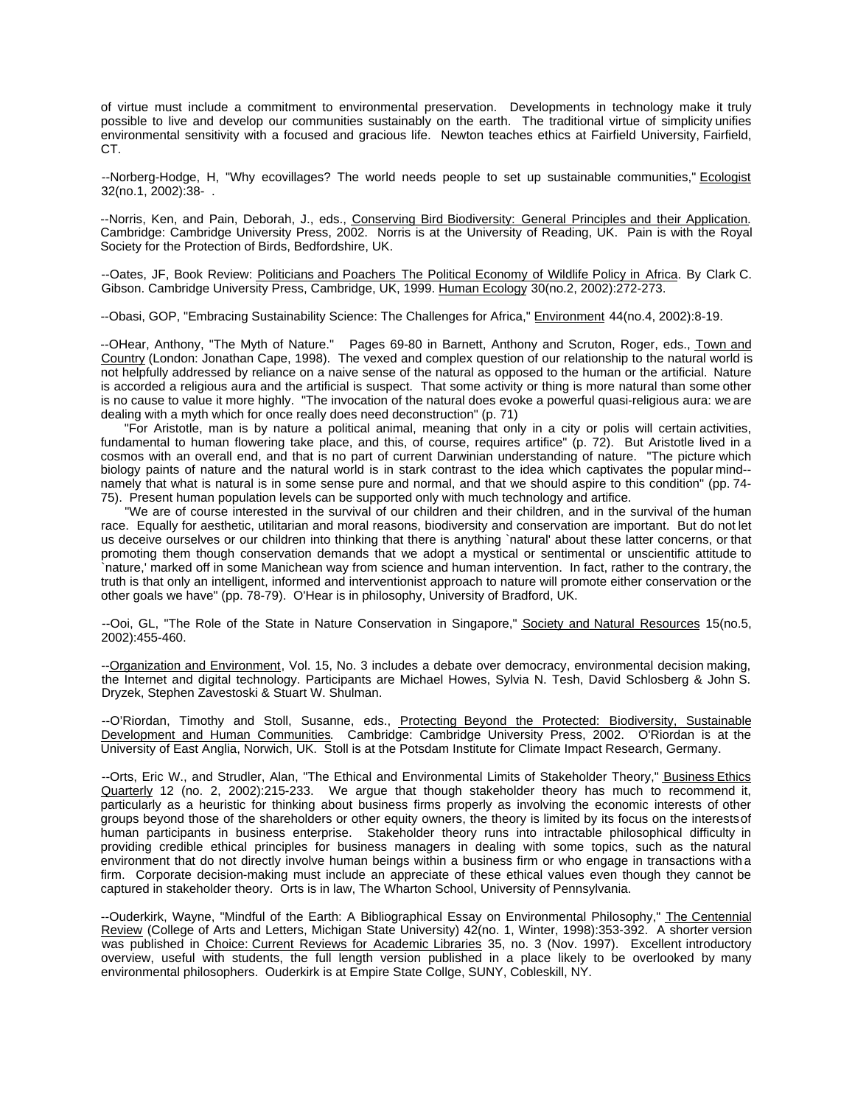of virtue must include a commitment to environmental preservation. Developments in technology make it truly possible to live and develop our communities sustainably on the earth. The traditional virtue of simplicity unifies environmental sensitivity with a focused and gracious life. Newton teaches ethics at Fairfield University, Fairfield, CT.

--Norberg-Hodge, H, "Why ecovillages? The world needs people to set up sustainable communities," Ecologist 32(no.1, 2002):38- .

--Norris, Ken, and Pain, Deborah, J., eds., Conserving Bird Biodiversity: General Principles and their Application. Cambridge: Cambridge University Press, 2002. Norris is at the University of Reading, UK. Pain is with the Royal Society for the Protection of Birds, Bedfordshire, UK.

--Oates, JF, Book Review: Politicians and Poachers The Political Economy of Wildlife Policy in Africa. By Clark C. Gibson. Cambridge University Press, Cambridge, UK, 1999. Human Ecology 30(no.2, 2002):272-273.

--Obasi, GOP, "Embracing Sustainability Science: The Challenges for Africa," Environment 44(no.4, 2002):8-19.

--OHear, Anthony, "The Myth of Nature." Pages 69-80 in Barnett, Anthony and Scruton, Roger, eds., Town and Country (London: Jonathan Cape, 1998). The vexed and complex question of our relationship to the natural world is not helpfully addressed by reliance on a naive sense of the natural as opposed to the human or the artificial. Nature is accorded a religious aura and the artificial is suspect. That some activity or thing is more natural than some other is no cause to value it more highly. "The invocation of the natural does evoke a powerful quasi-religious aura: we are dealing with a myth which for once really does need deconstruction" (p. 71)

"For Aristotle, man is by nature a political animal, meaning that only in a city or polis will certain activities, fundamental to human flowering take place, and this, of course, requires artifice" (p. 72). But Aristotle lived in a cosmos with an overall end, and that is no part of current Darwinian understanding of nature. "The picture which biology paints of nature and the natural world is in stark contrast to the idea which captivates the popular mind- namely that what is natural is in some sense pure and normal, and that we should aspire to this condition" (pp. 74- 75). Present human population levels can be supported only with much technology and artifice.

"We are of course interested in the survival of our children and their children, and in the survival of the human race. Equally for aesthetic, utilitarian and moral reasons, biodiversity and conservation are important. But do not let us deceive ourselves or our children into thinking that there is anything `natural' about these latter concerns, or that promoting them though conservation demands that we adopt a mystical or sentimental or unscientific attitude to `nature,' marked off in some Manichean way from science and human intervention. In fact, rather to the contrary, the truth is that only an intelligent, informed and interventionist approach to nature will promote either conservation or the other goals we have" (pp. 78-79). O'Hear is in philosophy, University of Bradford, UK.

--Ooi, GL, "The Role of the State in Nature Conservation in Singapore," Society and Natural Resources 15(no.5, 2002):455-460.

--Organization and Environment, Vol. 15, No. 3 includes a debate over democracy, environmental decision making, the Internet and digital technology. Participants are Michael Howes, Sylvia N. Tesh, David Schlosberg & John S. Dryzek, Stephen Zavestoski & Stuart W. Shulman.

--O'Riordan, Timothy and Stoll, Susanne, eds., Protecting Beyond the Protected: Biodiversity, Sustainable Development and Human Communities. Cambridge: Cambridge University Press, 2002. O'Riordan is at the University of East Anglia, Norwich, UK. Stoll is at the Potsdam Institute for Climate Impact Research, Germany.

--Orts, Eric W., and Strudler, Alan, "The Ethical and Environmental Limits of Stakeholder Theory," Business Ethics Quarterly 12 (no. 2, 2002):215-233. We argue that though stakeholder theory has much to recommend it, particularly as a heuristic for thinking about business firms properly as involving the economic interests of other groups beyond those of the shareholders or other equity owners, the theory is limited by its focus on the interests of human participants in business enterprise. Stakeholder theory runs into intractable philosophical difficulty in providing credible ethical principles for business managers in dealing with some topics, such as the natural environment that do not directly involve human beings within a business firm or who engage in transactions with a firm. Corporate decision-making must include an appreciate of these ethical values even though they cannot be captured in stakeholder theory. Orts is in law, The Wharton School, University of Pennsylvania.

--Ouderkirk, Wayne, "Mindful of the Earth: A Bibliographical Essay on Environmental Philosophy," The Centennial Review (College of Arts and Letters, Michigan State University) 42(no. 1, Winter, 1998):353-392. A shorter version was published in Choice: Current Reviews for Academic Libraries 35, no. 3 (Nov. 1997). Excellent introductory overview, useful with students, the full length version published in a place likely to be overlooked by many environmental philosophers. Ouderkirk is at Empire State Collge, SUNY, Cobleskill, NY.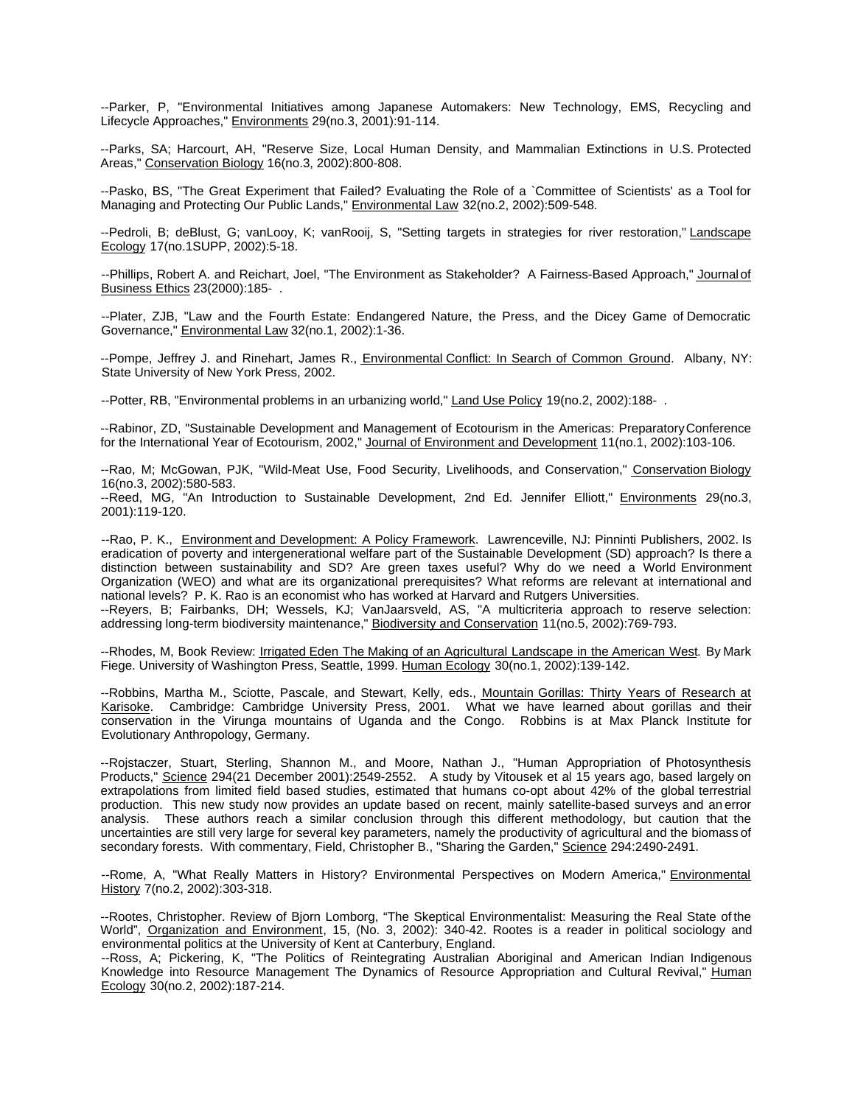--Parker, P, "Environmental Initiatives among Japanese Automakers: New Technology, EMS, Recycling and Lifecycle Approaches," Environments 29(no.3, 2001):91-114.

--Parks, SA; Harcourt, AH, "Reserve Size, Local Human Density, and Mammalian Extinctions in U.S. Protected Areas," Conservation Biology 16(no.3, 2002):800-808.

--Pasko, BS, "The Great Experiment that Failed? Evaluating the Role of a `Committee of Scientists' as a Tool for Managing and Protecting Our Public Lands," Environmental Law 32(no.2, 2002):509-548.

--Pedroli, B; deBlust, G; vanLooy, K; vanRooij, S, "Setting targets in strategies for river restoration," Landscape Ecology 17(no.1SUPP, 2002):5-18.

--Phillips, Robert A. and Reichart, Joel, "The Environment as Stakeholder? A Fairness-Based Approach," Journal of Business Ethics 23(2000):185- .

--Plater, ZJB, "Law and the Fourth Estate: Endangered Nature, the Press, and the Dicey Game of Democratic Governance," Environmental Law 32(no.1, 2002):1-36.

--Pompe, Jeffrey J. and Rinehart, James R., *Environmental Conflict: In Search of Common Ground.* Albany, NY: State University of New York Press, 2002.

--Potter, RB, "Environmental problems in an urbanizing world," Land Use Policy 19(no.2, 2002):188- .

--Rabinor, ZD, "Sustainable Development and Management of Ecotourism in the Americas: Preparatory Conference for the International Year of Ecotourism, 2002," Journal of Environment and Development 11(no.1, 2002):103-106.

--Rao, M; McGowan, PJK, "Wild-Meat Use, Food Security, Livelihoods, and Conservation," Conservation Biology 16(no.3, 2002):580-583.

--Reed, MG, "An Introduction to Sustainable Development, 2nd Ed. Jennifer Elliott," Environments 29(no.3, 2001):119-120.

--Rao, P. K., Environment and Development: A Policy Framework. Lawrenceville, NJ: Pinninti Publishers, 2002. Is eradication of poverty and intergenerational welfare part of the Sustainable Development (SD) approach? Is there a distinction between sustainability and SD? Are green taxes useful? Why do we need a World Environment Organization (WEO) and what are its organizational prerequisites? What reforms are relevant at international and national levels? P. K. Rao is an economist who has worked at Harvard and Rutgers Universities.

--Reyers, B; Fairbanks, DH; Wessels, KJ; VanJaarsveld, AS, "A multicriteria approach to reserve selection: addressing long-term biodiversity maintenance," Biodiversity and Conservation 11(no.5, 2002):769-793.

--Rhodes, M, Book Review: Irrigated Eden The Making of an Agricultural Landscape in the American West. By Mark Fiege. University of Washington Press, Seattle, 1999. Human Ecology 30(no.1, 2002):139-142.

--Robbins, Martha M., Sciotte, Pascale, and Stewart, Kelly, eds., Mountain Gorillas: Thirty Years of Research at Karisoke. Cambridge: Cambridge University Press, 2001. What we have learned about gorillas and their conservation in the Virunga mountains of Uganda and the Congo. Robbins is at Max Planck Institute for Evolutionary Anthropology, Germany.

--Rojstaczer, Stuart, Sterling, Shannon M., and Moore, Nathan J., "Human Appropriation of Photosynthesis Products," Science 294(21 December 2001):2549-2552. A study by Vitousek et al 15 years ago, based largely on extrapolations from limited field based studies, estimated that humans co-opt about 42% of the global terrestrial production. This new study now provides an update based on recent, mainly satellite-based surveys and an error analysis. These authors reach a similar conclusion through this different methodology, but caution that the uncertainties are still very large for several key parameters, namely the productivity of agricultural and the biomass of secondary forests. With commentary, Field, Christopher B., "Sharing the Garden," Science 294:2490-2491.

--Rome, A, "What Really Matters in History? Environmental Perspectives on Modern America," Environmental History 7(no.2, 2002):303-318.

--Rootes, Christopher. Review of Bjorn Lomborg, "The Skeptical Environmentalist: Measuring the Real State of the World", Organization and Environment, 15, (No. 3, 2002): 340-42. Rootes is a reader in political sociology and environmental politics at the University of Kent at Canterbury, England.

--Ross, A; Pickering, K, "The Politics of Reintegrating Australian Aboriginal and American Indian Indigenous Knowledge into Resource Management The Dynamics of Resource Appropriation and Cultural Revival," Human Ecology 30(no.2, 2002):187-214.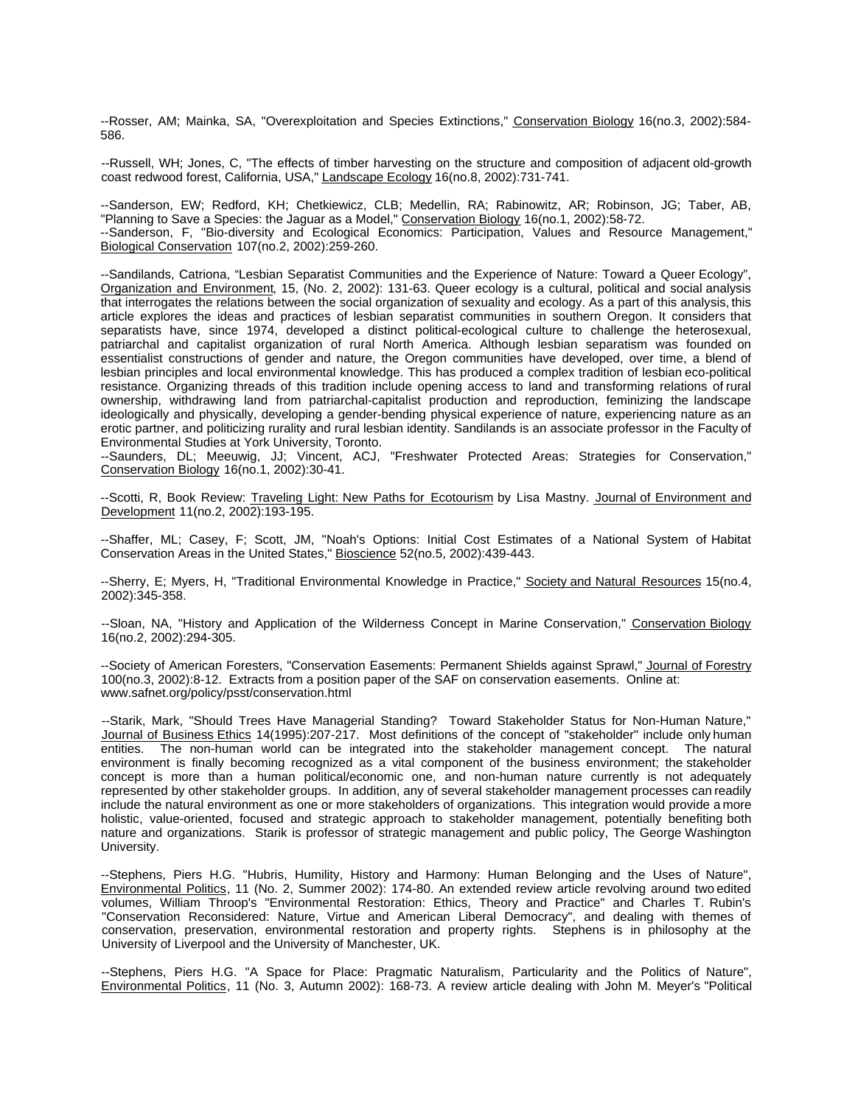--Rosser, AM; Mainka, SA, "Overexploitation and Species Extinctions," Conservation Biology 16(no.3, 2002):584- 586.

--Russell, WH; Jones, C, "The effects of timber harvesting on the structure and composition of adjacent old-growth coast redwood forest, California, USA," Landscape Ecology 16(no.8, 2002):731-741.

--Sanderson, EW; Redford, KH; Chetkiewicz, CLB; Medellin, RA; Rabinowitz, AR; Robinson, JG; Taber, AB, "Planning to Save a Species: the Jaguar as a Model," Conservation Biology 16(no.1, 2002):58-72. --Sanderson, F, "Bio-diversity and Ecological Economics: Participation, Values and Resource Management," Biological Conservation 107(no.2, 2002):259-260.

--Sandilands, Catriona, "Lesbian Separatist Communities and the Experience of Nature: Toward a Queer Ecology", Organization and Environment, 15, (No. 2, 2002): 131-63. Queer ecology is a cultural, political and social analysis that interrogates the relations between the social organization of sexuality and ecology. As a part of this analysis, this article explores the ideas and practices of lesbian separatist communities in southern Oregon. It considers that separatists have, since 1974, developed a distinct political-ecological culture to challenge the heterosexual, patriarchal and capitalist organization of rural North America. Although lesbian separatism was founded on essentialist constructions of gender and nature, the Oregon communities have developed, over time, a blend of lesbian principles and local environmental knowledge. This has produced a complex tradition of lesbian eco-political resistance. Organizing threads of this tradition include opening access to land and transforming relations of rural ownership, withdrawing land from patriarchal-capitalist production and reproduction, feminizing the landscape ideologically and physically, developing a gender-bending physical experience of nature, experiencing nature as an erotic partner, and politicizing rurality and rural lesbian identity. Sandilands is an associate professor in the Faculty of Environmental Studies at York University, Toronto.

--Saunders, DL; Meeuwig, JJ; Vincent, ACJ, "Freshwater Protected Areas: Strategies for Conservation," Conservation Biology 16(no.1, 2002):30-41.

--Scotti, R, Book Review: Traveling Light: New Paths for Ecotourism by Lisa Mastny. Journal of Environment and Development 11(no.2, 2002):193-195.

--Shaffer, ML; Casey, F; Scott, JM, "Noah's Options: Initial Cost Estimates of a National System of Habitat Conservation Areas in the United States," Bioscience 52(no.5, 2002):439-443.

--Sherry, E; Myers, H, "Traditional Environmental Knowledge in Practice," Society and Natural Resources 15(no.4, 2002):345-358.

--Sloan, NA, "History and Application of the Wilderness Concept in Marine Conservation," Conservation Biology 16(no.2, 2002):294-305.

--Society of American Foresters, "Conservation Easements: Permanent Shields against Sprawl," Journal of Forestry 100(no.3, 2002):8-12. Extracts from a position paper of the SAF on conservation easements. Online at: www.safnet.org/policy/psst/conservation.html

--Starik, Mark, "Should Trees Have Managerial Standing? Toward Stakeholder Status for Non-Human Nature," Journal of Business Ethics 14(1995):207-217. Most definitions of the concept of "stakeholder" include only human entities. The non-human world can be integrated into the stakeholder management concept. The natural environment is finally becoming recognized as a vital component of the business environment; the stakeholder concept is more than a human political/economic one, and non-human nature currently is not adequately represented by other stakeholder groups. In addition, any of several stakeholder management processes can readily include the natural environment as one or more stakeholders of organizations. This integration would provide a more holistic, value-oriented, focused and strategic approach to stakeholder management, potentially benefiting both nature and organizations. Starik is professor of strategic management and public policy, The George Washington University.

--Stephens, Piers H.G. "Hubris, Humility, History and Harmony: Human Belonging and the Uses of Nature", Environmental Politics, 11 (No. 2, Summer 2002): 174-80. An extended review article revolving around two edited volumes, William Throop's "Environmental Restoration: Ethics, Theory and Practice" and Charles T. Rubin's "Conservation Reconsidered: Nature, Virtue and American Liberal Democracy", and dealing with themes of conservation, preservation, environmental restoration and property rights. Stephens is in philosophy at the University of Liverpool and the University of Manchester, UK.

--Stephens, Piers H.G. "A Space for Place: Pragmatic Naturalism, Particularity and the Politics of Nature", Environmental Politics, 11 (No. 3, Autumn 2002): 168-73. A review article dealing with John M. Meyer's "Political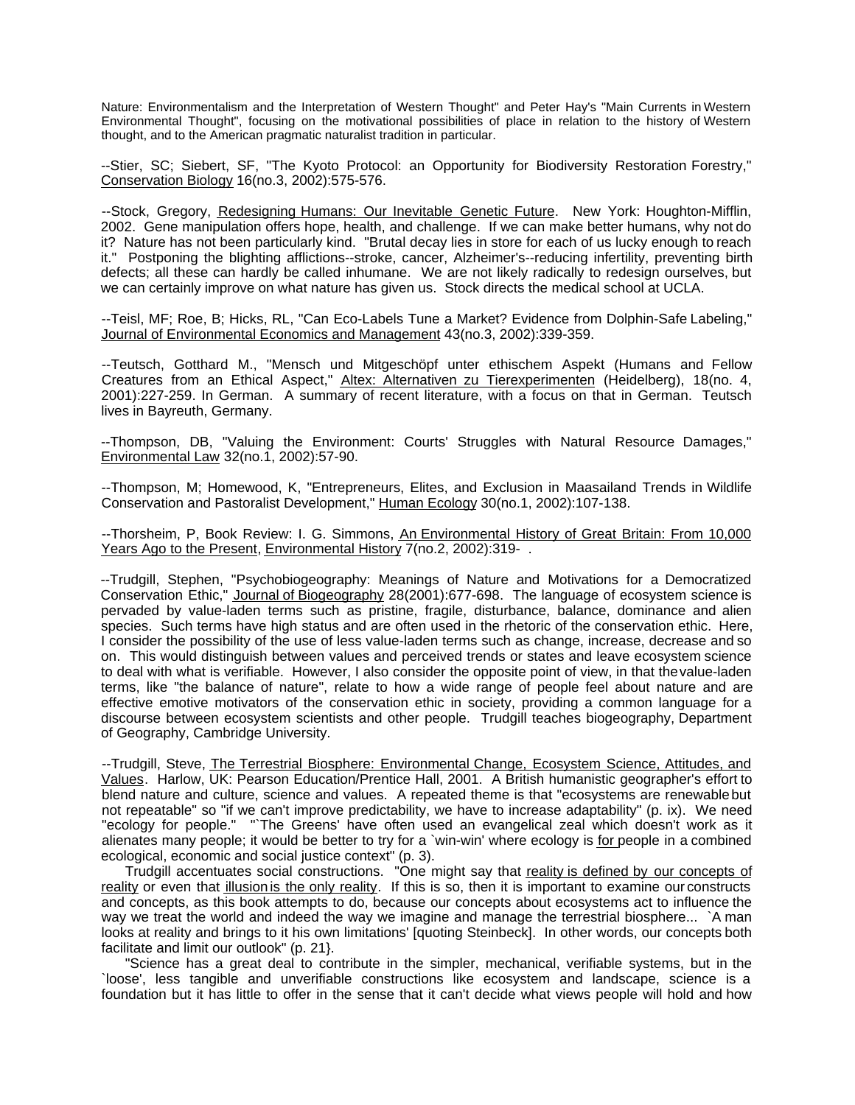Nature: Environmentalism and the Interpretation of Western Thought" and Peter Hay's "Main Currents in Western Environmental Thought", focusing on the motivational possibilities of place in relation to the history of Western thought, and to the American pragmatic naturalist tradition in particular.

--Stier, SC; Siebert, SF, "The Kyoto Protocol: an Opportunity for Biodiversity Restoration Forestry," Conservation Biology 16(no.3, 2002):575-576.

--Stock, Gregory, Redesigning Humans: Our Inevitable Genetic Future. New York: Houghton-Mifflin, 2002. Gene manipulation offers hope, health, and challenge. If we can make better humans, why not do it? Nature has not been particularly kind. "Brutal decay lies in store for each of us lucky enough to reach it." Postponing the blighting afflictions--stroke, cancer, Alzheimer's--reducing infertility, preventing birth defects; all these can hardly be called inhumane. We are not likely radically to redesign ourselves, but we can certainly improve on what nature has given us. Stock directs the medical school at UCLA.

--Teisl, MF; Roe, B; Hicks, RL, "Can Eco-Labels Tune a Market? Evidence from Dolphin-Safe Labeling," Journal of Environmental Economics and Management 43(no.3, 2002):339-359.

--Teutsch, Gotthard M., "Mensch und Mitgeschöpf unter ethischem Aspekt (Humans and Fellow Creatures from an Ethical Aspect," Altex: Alternativen zu Tierexperimenten (Heidelberg), 18(no. 4, 2001):227-259. In German. A summary of recent literature, with a focus on that in German. Teutsch lives in Bayreuth, Germany.

--Thompson, DB, "Valuing the Environment: Courts' Struggles with Natural Resource Damages," Environmental Law 32(no.1, 2002):57-90.

--Thompson, M; Homewood, K, "Entrepreneurs, Elites, and Exclusion in Maasailand Trends in Wildlife Conservation and Pastoralist Development," Human Ecology 30(no.1, 2002):107-138.

-- Thorsheim, P, Book Review: I. G. Simmons, An Environmental History of Great Britain: From 10,000 Years Ago to the Present, Environmental History 7(no.2, 2002):319- .

--Trudgill, Stephen, "Psychobiogeography: Meanings of Nature and Motivations for a Democratized Conservation Ethic," Journal of Biogeography 28(2001):677-698. The language of ecosystem science is pervaded by value-laden terms such as pristine, fragile, disturbance, balance, dominance and alien species. Such terms have high status and are often used in the rhetoric of the conservation ethic. Here, I consider the possibility of the use of less value-laden terms such as change, increase, decrease and so on. This would distinguish between values and perceived trends or states and leave ecosystem science to deal with what is verifiable. However, I also consider the opposite point of view, in that the value-laden terms, like "the balance of nature", relate to how a wide range of people feel about nature and are effective emotive motivators of the conservation ethic in society, providing a common language for a discourse between ecosystem scientists and other people. Trudgill teaches biogeography, Department of Geography, Cambridge University.

--Trudgill, Steve, The Terrestrial Biosphere: Environmental Change, Ecosystem Science, Attitudes, and Values. Harlow, UK: Pearson Education/Prentice Hall, 2001. A British humanistic geographer's effort to blend nature and culture, science and values. A repeated theme is that "ecosystems are renewable but not repeatable" so "if we can't improve predictability, we have to increase adaptability" (p. ix). We need "ecology for people." "`The Greens' have often used an evangelical zeal which doesn't work as it alienates many people; it would be better to try for a `win-win' where ecology is for people in a combined ecological, economic and social justice context" (p. 3).

Trudgill accentuates social constructions. "One might say that reality is defined by our concepts of reality or even that illusion is the only reality. If this is so, then it is important to examine our constructs and concepts, as this book attempts to do, because our concepts about ecosystems act to influence the way we treat the world and indeed the way we imagine and manage the terrestrial biosphere... `A man looks at reality and brings to it his own limitations' [quoting Steinbeck]. In other words, our concepts both facilitate and limit our outlook" (p. 21}.

"Science has a great deal to contribute in the simpler, mechanical, verifiable systems, but in the `loose', less tangible and unverifiable constructions like ecosystem and landscape, science is a foundation but it has little to offer in the sense that it can't decide what views people will hold and how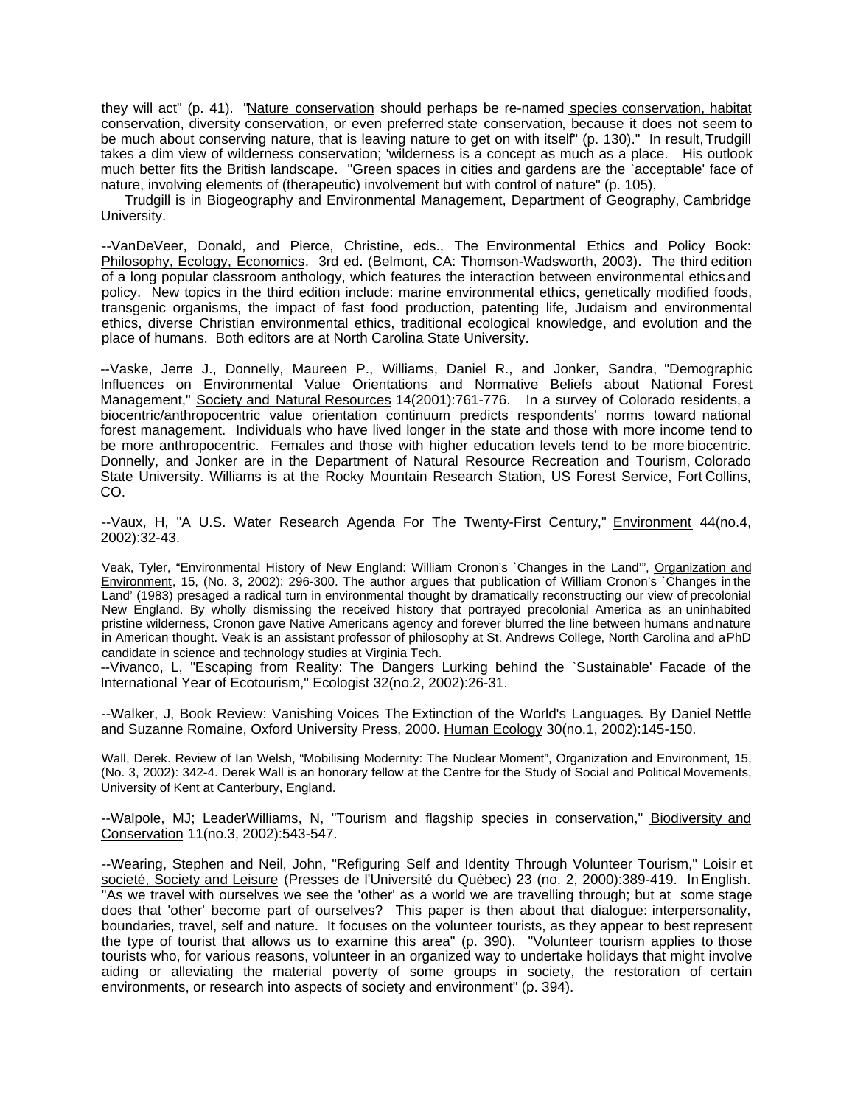they will act" (p. 41). "Nature conservation should perhaps be re-named species conservation, habitat conservation, diversity conservation, or even preferred state conservation, because it does not seem to be much about conserving nature, that is leaving nature to get on with itself" (p. 130)." In result, Trudgill takes a dim view of wilderness conservation; 'wilderness is a concept as much as a place. His outlook much better fits the British landscape. "Green spaces in cities and gardens are the `acceptable' face of nature, involving elements of (therapeutic) involvement but with control of nature" (p. 105).

Trudgill is in Biogeography and Environmental Management, Department of Geography, Cambridge University.

--VanDeVeer, Donald, and Pierce, Christine, eds., The Environmental Ethics and Policy Book: Philosophy, Ecology, Economics. 3rd ed. (Belmont, CA: Thomson-Wadsworth, 2003). The third edition of a long popular classroom anthology, which features the interaction between environmental ethics and policy. New topics in the third edition include: marine environmental ethics, genetically modified foods, transgenic organisms, the impact of fast food production, patenting life, Judaism and environmental ethics, diverse Christian environmental ethics, traditional ecological knowledge, and evolution and the place of humans. Both editors are at North Carolina State University.

--Vaske, Jerre J., Donnelly, Maureen P., Williams, Daniel R., and Jonker, Sandra, "Demographic Influences on Environmental Value Orientations and Normative Beliefs about National Forest Management," Society and Natural Resources 14(2001):761-776. In a survey of Colorado residents, a biocentric/anthropocentric value orientation continuum predicts respondents' norms toward national forest management. Individuals who have lived longer in the state and those with more income tend to be more anthropocentric. Females and those with higher education levels tend to be more biocentric. Donnelly, and Jonker are in the Department of Natural Resource Recreation and Tourism, Colorado State University. Williams is at the Rocky Mountain Research Station, US Forest Service, Fort Collins, CO.

--Vaux, H, "A U.S. Water Research Agenda For The Twenty-First Century," Environment 44(no.4, 2002):32-43.

Veak, Tyler, "Environmental History of New England: William Cronon's `Changes in the Land'", Organization and Environment, 15, (No. 3, 2002): 296-300. The author argues that publication of William Cronon's `Changes in the Land' (1983) presaged a radical turn in environmental thought by dramatically reconstructing our view of precolonial New England. By wholly dismissing the received history that portrayed precolonial America as an uninhabited pristine wilderness, Cronon gave Native Americans agency and forever blurred the line between humans and nature in American thought. Veak is an assistant professor of philosophy at St. Andrews College, North Carolina and a PhD candidate in science and technology studies at Virginia Tech.

--Vivanco, L, "Escaping from Reality: The Dangers Lurking behind the `Sustainable' Facade of the International Year of Ecotourism," Ecologist 32(no.2, 2002):26-31.

--Walker, J, Book Review: Vanishing Voices The Extinction of the World's Languages. By Daniel Nettle and Suzanne Romaine, Oxford University Press, 2000. Human Ecology 30(no.1, 2002):145-150.

Wall, Derek. Review of Ian Welsh, "Mobilising Modernity: The Nuclear Moment", Organization and Environment, 15, (No. 3, 2002): 342-4. Derek Wall is an honorary fellow at the Centre for the Study of Social and Political Movements, University of Kent at Canterbury, England.

--Walpole, MJ; LeaderWilliams, N, "Tourism and flagship species in conservation," **Biodiversity and** Conservation 11(no.3, 2002):543-547.

--Wearing, Stephen and Neil, John, "Refiguring Self and Identity Through Volunteer Tourism," Loisir et societé, Society and Leisure (Presses de l'Université du Quèbec) 23 (no. 2, 2000):389-419. In English. "As we travel with ourselves we see the 'other' as a world we are travelling through; but at some stage does that 'other' become part of ourselves? This paper is then about that dialogue: interpersonality, boundaries, travel, self and nature. It focuses on the volunteer tourists, as they appear to best represent the type of tourist that allows us to examine this area" (p. 390). "Volunteer tourism applies to those tourists who, for various reasons, volunteer in an organized way to undertake holidays that might involve aiding or alleviating the material poverty of some groups in society, the restoration of certain environments, or research into aspects of society and environment" (p. 394).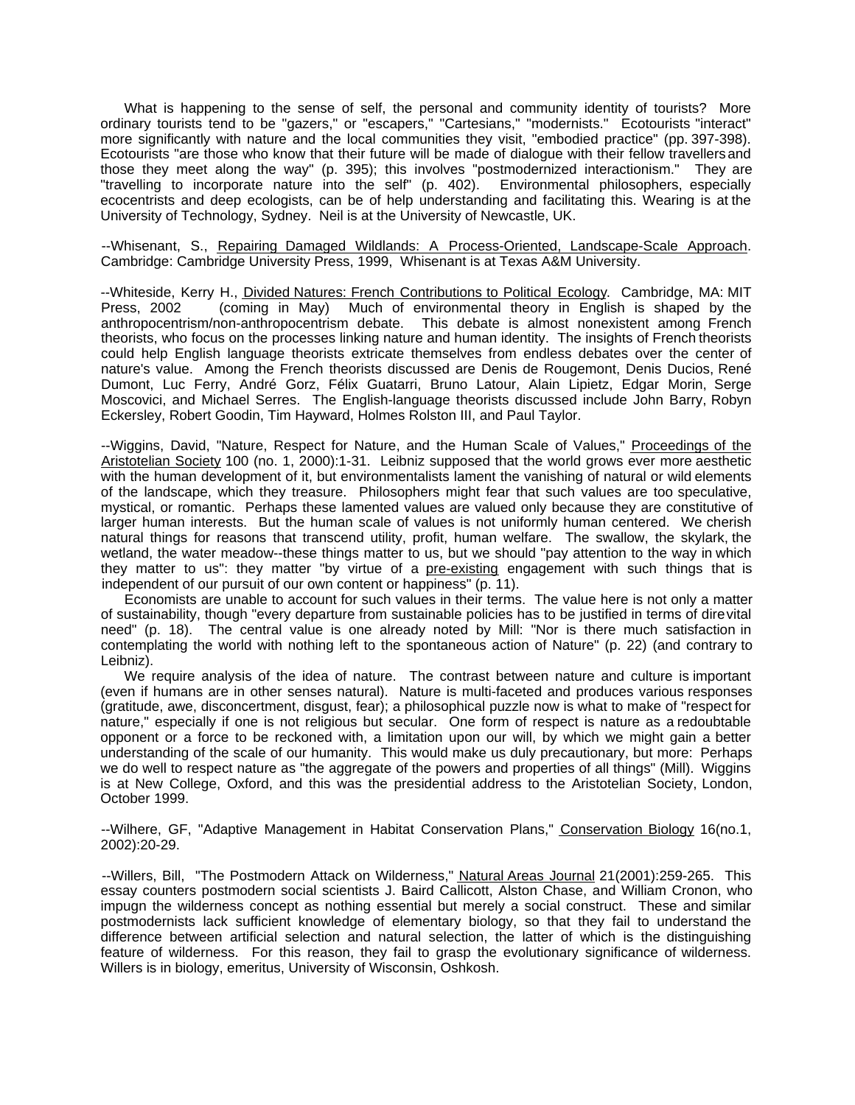What is happening to the sense of self, the personal and community identity of tourists? More ordinary tourists tend to be "gazers," or "escapers," "Cartesians," "modernists." Ecotourists "interact" more significantly with nature and the local communities they visit, "embodied practice" (pp. 397-398). Ecotourists "are those who know that their future will be made of dialogue with their fellow travellers and those they meet along the way" (p. 395); this involves "postmodernized interactionism." They are "travelling to incorporate nature into the self" (p. 402). Environmental philosophers, especially ecocentrists and deep ecologists, can be of help understanding and facilitating this. Wearing is at the University of Technology, Sydney. Neil is at the University of Newcastle, UK.

--Whisenant, S., Repairing Damaged Wildlands: A Process-Oriented, Landscape-Scale Approach. Cambridge: Cambridge University Press, 1999, Whisenant is at Texas A&M University.

--Whiteside, Kerry H., Divided Natures: French Contributions to Political Ecology. Cambridge, MA: MIT Press, 2002 (coming in May) Much of environmental theory in English is shaped by the anthropocentrism/non-anthropocentrism debate. This debate is almost nonexistent among French theorists, who focus on the processes linking nature and human identity. The insights of French theorists could help English language theorists extricate themselves from endless debates over the center of nature's value. Among the French theorists discussed are Denis de Rougemont, Denis Ducios, René Dumont, Luc Ferry, André Gorz, Félix Guatarri, Bruno Latour, Alain Lipietz, Edgar Morin, Serge Moscovici, and Michael Serres. The English-language theorists discussed include John Barry, Robyn Eckersley, Robert Goodin, Tim Hayward, Holmes Rolston III, and Paul Taylor.

--Wiggins, David, "Nature, Respect for Nature, and the Human Scale of Values," Proceedings of the Aristotelian Society 100 (no. 1, 2000):1-31. Leibniz supposed that the world grows ever more aesthetic with the human development of it, but environmentalists lament the vanishing of natural or wild elements of the landscape, which they treasure. Philosophers might fear that such values are too speculative, mystical, or romantic. Perhaps these lamented values are valued only because they are constitutive of larger human interests. But the human scale of values is not uniformly human centered. We cherish natural things for reasons that transcend utility, profit, human welfare. The swallow, the skylark, the wetland, the water meadow--these things matter to us, but we should "pay attention to the way in which they matter to us": they matter "by virtue of a pre-existing engagement with such things that is independent of our pursuit of our own content or happiness" (p. 11).

Economists are unable to account for such values in their terms. The value here is not only a matter of sustainability, though "every departure from sustainable policies has to be justified in terms of dire vital need" (p. 18). The central value is one already noted by Mill: "Nor is there much satisfaction in contemplating the world with nothing left to the spontaneous action of Nature" (p. 22) (and contrary to Leibniz).

We require analysis of the idea of nature. The contrast between nature and culture is important (even if humans are in other senses natural). Nature is multi-faceted and produces various responses (gratitude, awe, disconcertment, disgust, fear); a philosophical puzzle now is what to make of "respect for nature," especially if one is not religious but secular. One form of respect is nature as a redoubtable opponent or a force to be reckoned with, a limitation upon our will, by which we might gain a better understanding of the scale of our humanity. This would make us duly precautionary, but more: Perhaps we do well to respect nature as "the aggregate of the powers and properties of all things" (Mill). Wiggins is at New College, Oxford, and this was the presidential address to the Aristotelian Society, London, October 1999.

--Wilhere, GF, "Adaptive Management in Habitat Conservation Plans," Conservation Biology 16(no.1, 2002):20-29.

--Willers, Bill, "The Postmodern Attack on Wilderness," Natural Areas Journal 21(2001):259-265. This essay counters postmodern social scientists J. Baird Callicott, Alston Chase, and William Cronon, who impugn the wilderness concept as nothing essential but merely a social construct. These and similar postmodernists lack sufficient knowledge of elementary biology, so that they fail to understand the difference between artificial selection and natural selection, the latter of which is the distinguishing feature of wilderness. For this reason, they fail to grasp the evolutionary significance of wilderness. Willers is in biology, emeritus, University of Wisconsin, Oshkosh.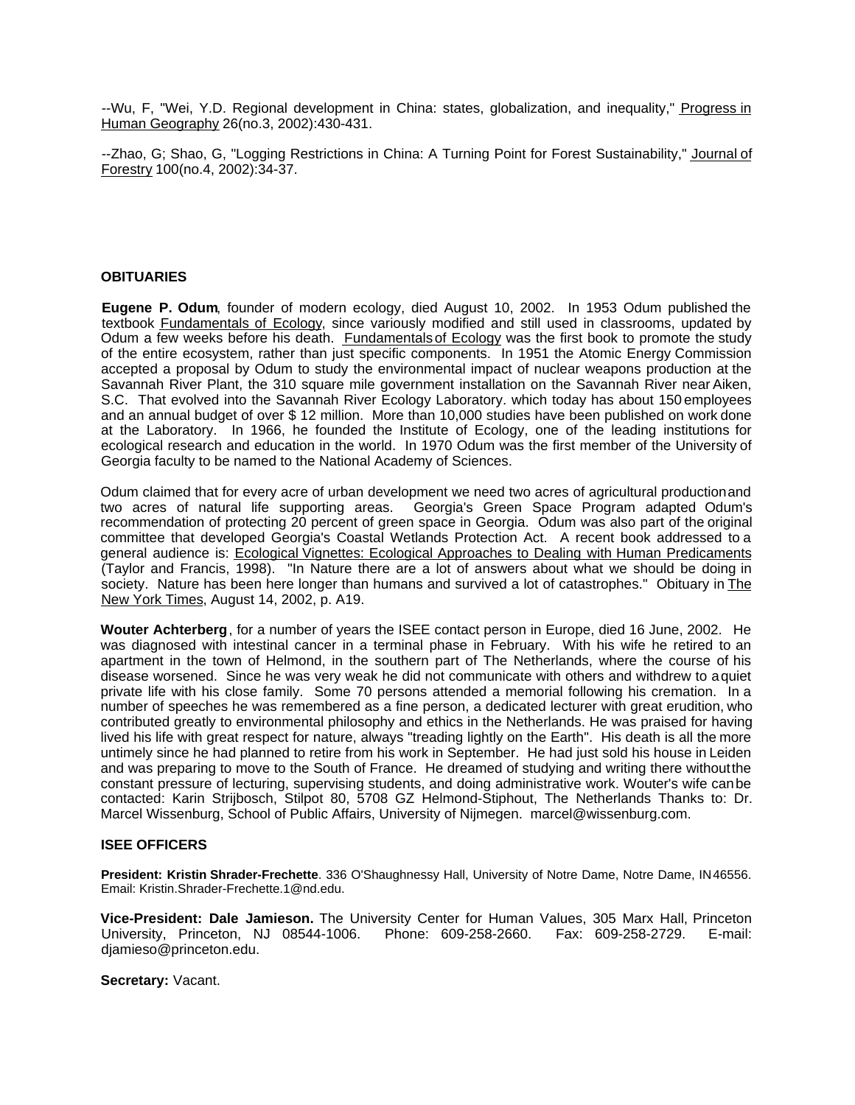--Wu, F, "Wei, Y.D. Regional development in China: states, globalization, and inequality," Progress in Human Geography 26(no.3, 2002):430-431.

--Zhao, G; Shao, G, "Logging Restrictions in China: A Turning Point for Forest Sustainability," Journal of Forestry 100(no.4, 2002):34-37.

## **OBITUARIES**

**Eugene P. Odum**, founder of modern ecology, died August 10, 2002. In 1953 Odum published the textbook Fundamentals of Ecology, since variously modified and still used in classrooms, updated by Odum a few weeks before his death. Fundamentals of Ecology was the first book to promote the study of the entire ecosystem, rather than just specific components. In 1951 the Atomic Energy Commission accepted a proposal by Odum to study the environmental impact of nuclear weapons production at the Savannah River Plant, the 310 square mile government installation on the Savannah River near Aiken, S.C. That evolved into the Savannah River Ecology Laboratory. which today has about 150 employees and an annual budget of over \$ 12 million. More than 10,000 studies have been published on work done at the Laboratory. In 1966, he founded the Institute of Ecology, one of the leading institutions for ecological research and education in the world. In 1970 Odum was the first member of the University of Georgia faculty to be named to the National Academy of Sciences.

Odum claimed that for every acre of urban development we need two acres of agricultural production and two acres of natural life supporting areas. Georgia's Green Space Program adapted Odum's recommendation of protecting 20 percent of green space in Georgia. Odum was also part of the original committee that developed Georgia's Coastal Wetlands Protection Act. A recent book addressed to a general audience is: Ecological Vignettes: Ecological Approaches to Dealing with Human Predicaments (Taylor and Francis, 1998). "In Nature there are a lot of answers about what we should be doing in society. Nature has been here longer than humans and survived a lot of catastrophes." Obituary in The New York Times, August 14, 2002, p. A19.

**Wouter Achterberg**, for a number of years the ISEE contact person in Europe, died 16 June, 2002. He was diagnosed with intestinal cancer in a terminal phase in February. With his wife he retired to an apartment in the town of Helmond, in the southern part of The Netherlands, where the course of his disease worsened. Since he was very weak he did not communicate with others and withdrew to a quiet private life with his close family. Some 70 persons attended a memorial following his cremation. In a number of speeches he was remembered as a fine person, a dedicated lecturer with great erudition, who contributed greatly to environmental philosophy and ethics in the Netherlands. He was praised for having lived his life with great respect for nature, always "treading lightly on the Earth". His death is all the more untimely since he had planned to retire from his work in September. He had just sold his house in Leiden and was preparing to move to the South of France. He dreamed of studying and writing there without the constant pressure of lecturing, supervising students, and doing administrative work. Wouter's wife can be contacted: Karin Strijbosch, Stilpot 80, 5708 GZ Helmond-Stiphout, The Netherlands Thanks to: Dr. Marcel Wissenburg, School of Public Affairs, University of Nijmegen. marcel@wissenburg.com.

## **ISEE OFFICERS**

**President: Kristin Shrader-Frechette**. 336 O'Shaughnessy Hall, University of Notre Dame, Notre Dame, IN 46556. Email: Kristin.Shrader-Frechette.1@nd.edu.

**Vice-President: Dale Jamieson.** The University Center for Human Values, 305 Marx Hall, Princeton University, Princeton, NJ 08544-1006. Phone: 609-258-2660. Fax: 609-258-2729. E-mail: djamieso@princeton.edu.

**Secretary:** Vacant.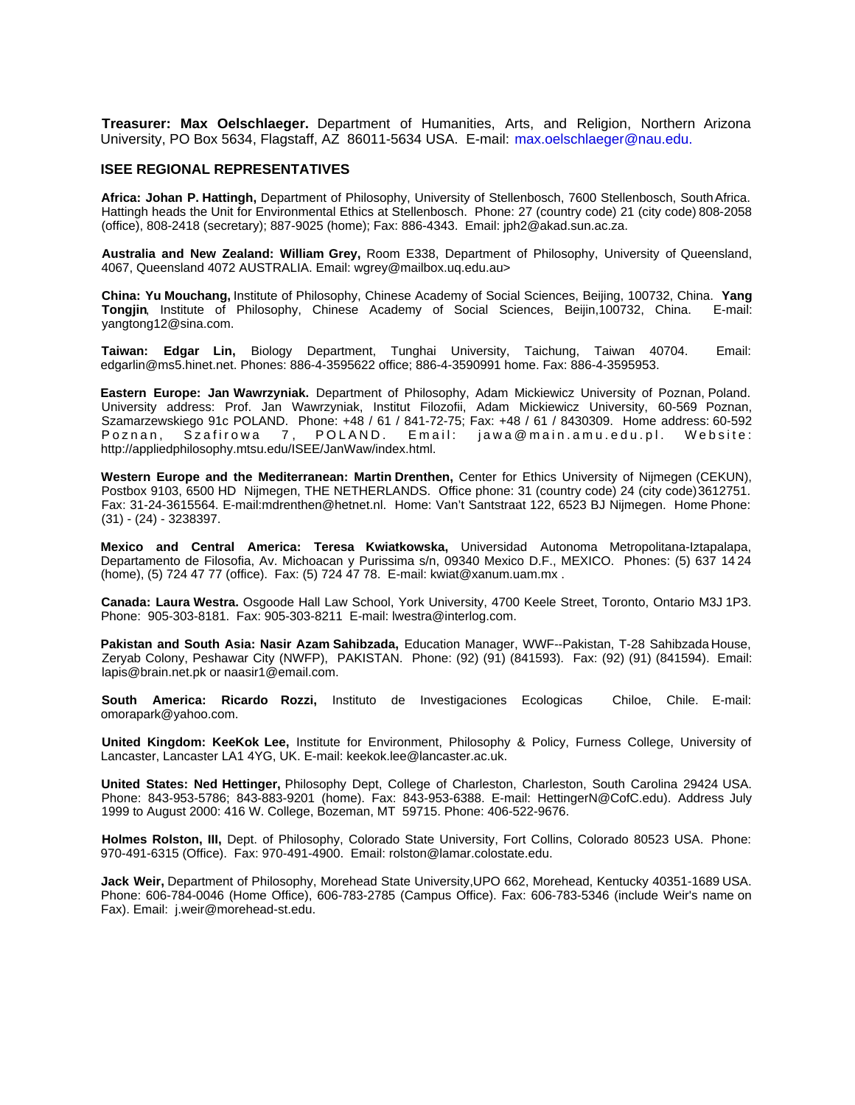**Treasurer: Max Oelschlaeger.** Department of Humanities, Arts, and Religion, Northern Arizona University, PO Box 5634, Flagstaff, AZ 86011-5634 USA. E-mail: max.oelschlaeger@nau.edu.

### **ISEE REGIONAL REPRESENTATIVES**

**Africa: Johan P. Hattingh,** Department of Philosophy, University of Stellenbosch, 7600 Stellenbosch, South Africa. Hattingh heads the Unit for Environmental Ethics at Stellenbosch. Phone: 27 (country code) 21 (city code) 808-2058 (office), 808-2418 (secretary); 887-9025 (home); Fax: 886-4343. Email: jph2@akad.sun.ac.za.

**Australia and New Zealand: William Grey,** Room E338, Department of Philosophy, University of Queensland, 4067, Queensland 4072 AUSTRALIA. Email: wgrey@mailbox.uq.edu.au>

**China: Yu Mouchang,** Institute of Philosophy, Chinese Academy of Social Sciences, Beijing, 100732, China. **Yang Tongjin**, Institute of Philosophy, Chinese Academy of Social Sciences, Beijin,100732, China. E-mail: yangtong12@sina.com.

**Taiwan: Edgar Lin,** Biology Department, Tunghai University, Taichung, Taiwan 40704. Email: edgarlin@ms5.hinet.net. Phones: 886-4-3595622 office; 886-4-3590991 home. Fax: 886-4-3595953.

**Eastern Europe: Jan Wawrzyniak.** Department of Philosophy, Adam Mickiewicz University of Poznan, Poland. University address: Prof. Jan Wawrzyniak, Institut Filozofii, Adam Mickiewicz University, 60-569 Poznan, Szamarzewskiego 91c POLAND. Phone: +48 / 61 / 841-72-75; Fax: +48 / 61 / 8430309. Home address: 60-592 Poznan, Szafirowa 7, POLAND. Email: jawa@main.amu.edu.pl. Website: http://appliedphilosophy.mtsu.edu/ISEE/JanWaw/index.html.

**Western Europe and the Mediterranean: Martin Drenthen,** Center for Ethics University of Nijmegen (CEKUN), Postbox 9103, 6500 HD Nijmegen, THE NETHERLANDS. Office phone: 31 (country code) 24 (city code) 3612751. Fax: 31-24-3615564. E-mail:mdrenthen@hetnet.nl. Home: Van't Santstraat 122, 6523 BJ Nijmegen. Home Phone: (31) - (24) - 3238397.

**Mexico and Central America: Teresa Kwiatkowska,** Universidad Autonoma Metropolitana-Iztapalapa, Departamento de Filosofia, Av. Michoacan y Purissima s/n, 09340 Mexico D.F., MEXICO. Phones: (5) 637 14 24 (home), (5) 724 47 77 (office). Fax: (5) 724 47 78. E-mail: kwiat@xanum.uam.mx .

**Canada: Laura Westra.** Osgoode Hall Law School, York University, 4700 Keele Street, Toronto, Ontario M3J 1P3. Phone: 905-303-8181. Fax: 905-303-8211 E-mail: lwestra@interlog.com.

**Pakistan and South Asia: Nasir Azam Sahibzada,** Education Manager, WWF--Pakistan, T-28 Sahibzada House, Zeryab Colony, Peshawar City (NWFP), PAKISTAN. Phone: (92) (91) (841593). Fax: (92) (91) (841594). Email: lapis@brain.net.pk or naasir1@email.com.

**South America: Ricardo Rozzi,** Instituto de Investigaciones Ecologicas Chiloe, Chile. E-mail: omorapark@yahoo.com.

**United Kingdom: KeeKok Lee,** Institute for Environment, Philosophy & Policy, Furness College, University of Lancaster, Lancaster LA1 4YG, UK. E-mail: keekok.lee@lancaster.ac.uk.

**United States: Ned Hettinger,** Philosophy Dept, College of Charleston, Charleston, South Carolina 29424 USA. Phone: 843-953-5786; 843-883-9201 (home). Fax: 843-953-6388. E-mail: HettingerN@CofC.edu). Address July 1999 to August 2000: 416 W. College, Bozeman, MT 59715. Phone: 406-522-9676.

**Holmes Rolston, III,** Dept. of Philosophy, Colorado State University, Fort Collins, Colorado 80523 USA. Phone: 970-491-6315 (Office). Fax: 970-491-4900. Email: rolston@lamar.colostate.edu.

**Jack Weir,** Department of Philosophy, Morehead State University,UPO 662, Morehead, Kentucky 40351-1689 USA. Phone: 606-784-0046 (Home Office), 606-783-2785 (Campus Office). Fax: 606-783-5346 (include Weir's name on Fax). Email: j.weir@morehead-st.edu.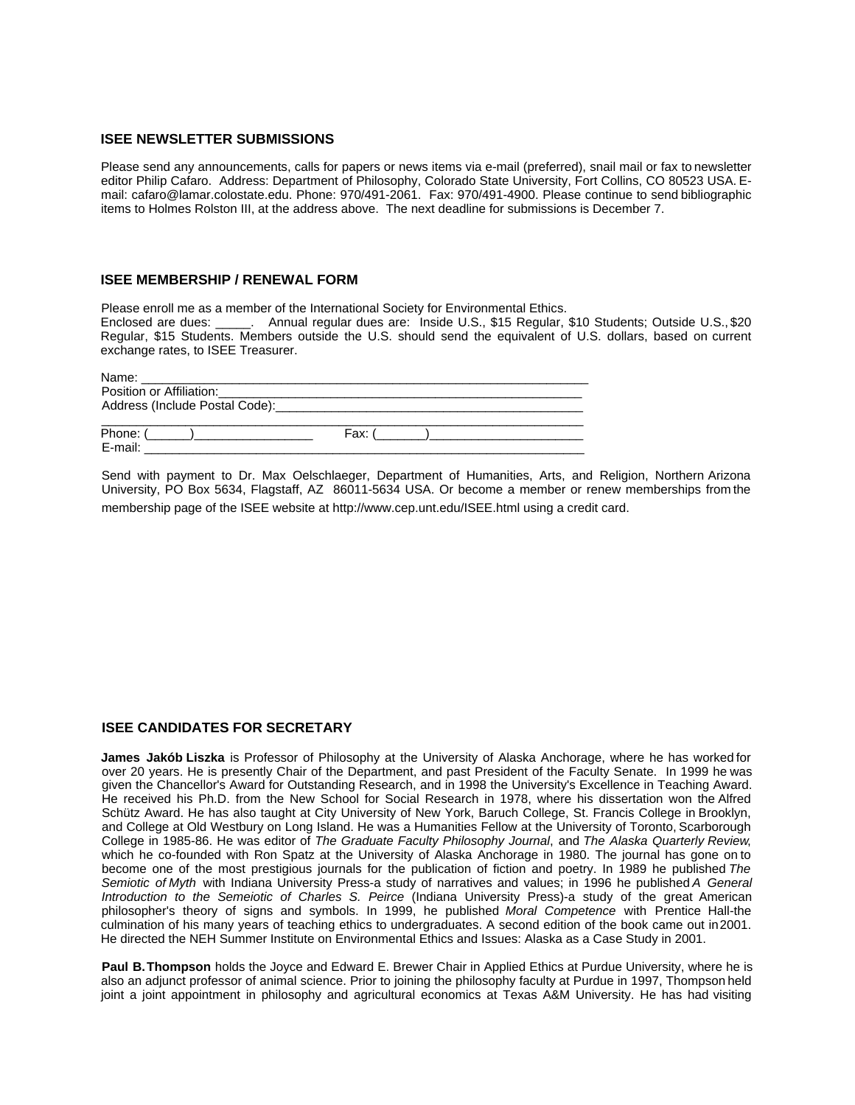#### **ISEE NEWSLETTER SUBMISSIONS**

Please send any announcements, calls for papers or news items via e-mail (preferred), snail mail or fax to newsletter editor Philip Cafaro. Address: Department of Philosophy, Colorado State University, Fort Collins, CO 80523 USA. Email: cafaro@lamar.colostate.edu. Phone: 970/491-2061. Fax: 970/491-4900. Please continue to send bibliographic items to Holmes Rolston III, at the address above. The next deadline for submissions is December 7.

#### **ISEE MEMBERSHIP / RENEWAL FORM**

Please enroll me as a member of the International Society for Environmental Ethics.

Enclosed are dues: \_\_\_\_\_. Annual regular dues are: Inside U.S., \$15 Regular, \$10 Students; Outside U.S., \$20 Regular, \$15 Students. Members outside the U.S. should send the equivalent of U.S. dollars, based on current exchange rates, to ISEE Treasurer.

| Name:<br>the contract of the contract of the contract of the contract of the contract of |                                                                                                                       |
|------------------------------------------------------------------------------------------|-----------------------------------------------------------------------------------------------------------------------|
| Position or Affiliation:                                                                 | <u> 1980 - Jan Berlin, margaret amerikan bestean di sebagai personal di sebagai personal di sebagai personal di s</u> |
|                                                                                          |                                                                                                                       |
|                                                                                          |                                                                                                                       |
| Phone: (                                                                                 | Fax:                                                                                                                  |
| E-mail:                                                                                  |                                                                                                                       |

Send with payment to Dr. Max Oelschlaeger, Department of Humanities, Arts, and Religion, Northern Arizona University, PO Box 5634, Flagstaff, AZ 86011-5634 USA. Or become a member or renew memberships from the membership page of the ISEE website at http://www.cep.unt.edu/ISEE.html using a credit card.

#### **ISEE CANDIDATES FOR SECRETARY**

**James Jakób Liszka** is Professor of Philosophy at the University of Alaska Anchorage, where he has worked for over 20 years. He is presently Chair of the Department, and past President of the Faculty Senate. In 1999 he was given the Chancellor's Award for Outstanding Research, and in 1998 the University's Excellence in Teaching Award. He received his Ph.D. from the New School for Social Research in 1978, where his dissertation won the Alfred Schütz Award. He has also taught at City University of New York, Baruch College, St. Francis College in Brooklyn, and College at Old Westbury on Long Island. He was a Humanities Fellow at the University of Toronto, Scarborough College in 1985-86. He was editor of *The Graduate Faculty Philosophy Journal*, and *The Alaska Quarterly Review*, which he co-founded with Ron Spatz at the University of Alaska Anchorage in 1980. The journal has gone on to become one of the most prestigious journals for the publication of fiction and poetry. In 1989 he published *The Semiotic of Myth* with Indiana University Press-a study of narratives and values; in 1996 he published *A General Introduction to the Semeiotic of Charles S. Peirce* (Indiana University Press)-a study of the great American philosopher's theory of signs and symbols. In 1999, he published *Moral Competence* with Prentice Hall-the culmination of his many years of teaching ethics to undergraduates. A second edition of the book came out in 2001. He directed the NEH Summer Institute on Environmental Ethics and Issues: Alaska as a Case Study in 2001.

**Paul B. Thompson** holds the Joyce and Edward E. Brewer Chair in Applied Ethics at Purdue University, where he is also an adjunct professor of animal science. Prior to joining the philosophy faculty at Purdue in 1997, Thompson held joint a joint appointment in philosophy and agricultural economics at Texas A&M University. He has had visiting